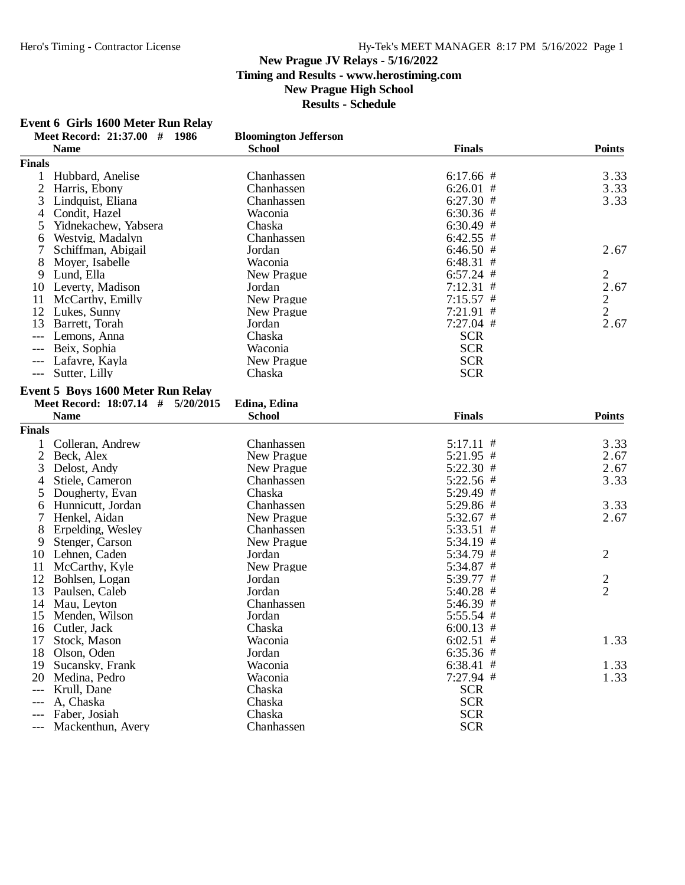## Hero's Timing - Contractor License Hy-Tek's MEET MANAGER 8:17 PM 5/16/2022 Page 1

#### **New Prague JV Relays - 5/16/2022 Timing and Results - www.herostiming.com New Prague High School Results - Schedule**

**Event 6 Girls 1600 Meter Run Relay**

|                     | Meet Record: 21:37.00 # 1986             | <b>Bloomington Jefferson</b> |                            |                |
|---------------------|------------------------------------------|------------------------------|----------------------------|----------------|
| <b>Finals</b>       | <b>Name</b>                              | <b>School</b>                | <b>Finals</b>              | <b>Points</b>  |
|                     |                                          |                              |                            |                |
| 1                   | Hubbard, Anelise<br>2 Harris, Ebony      | Chanhassen<br>Chanhassen     | $6:17.66$ #                | 3.33<br>3.33   |
|                     |                                          | Chanhassen                   | $6:26.01$ #                | 3.33           |
| 3                   | Lindquist, Eliana<br>Condit, Hazel       | Waconia                      | $6:27.30$ #                |                |
| 4                   | Yidnekachew, Yabsera                     | Chaska                       | $6:30.36$ #<br>$6:30.49$ # |                |
| 5                   | Westvig, Madalyn                         | Chanhassen                   | $6:42.55$ #                |                |
| 6<br>7              |                                          | Jordan                       | $6:46.50$ #                | 2.67           |
|                     | Schiffman, Abigail                       |                              |                            |                |
| 8                   | Moyer, Isabelle                          | Waconia                      | 6:48.31#                   |                |
| 9                   | Lund, Ella                               | New Prague                   | $6:57.24$ #                | $\overline{2}$ |
| 10                  | Leverty, Madison                         | Jordan                       | $7:12.31$ #                | 2.67           |
| 11                  | McCarthy, Emilly                         | New Prague                   | $7:15.57$ #                | $\overline{2}$ |
| 12                  | Lukes, Sunny                             | New Prague                   | $7:21.91$ #                | $\mathbf{2}$   |
| 13                  | Barrett, Torah                           | Jordan                       | $7:27.04$ #                | 2.67           |
| $---$               | Lemons, Anna                             | Chaska                       | <b>SCR</b>                 |                |
| ---                 | Beix, Sophia                             | Waconia                      | <b>SCR</b>                 |                |
| ---                 | Lafavre, Kayla                           | New Prague                   | <b>SCR</b>                 |                |
| $\qquad \qquad - -$ | Sutter, Lilly                            | Chaska                       | <b>SCR</b>                 |                |
|                     | <b>Event 5 Boys 1600 Meter Run Relay</b> |                              |                            |                |
|                     | Meet Record: 18:07.14 # 5/20/2015        | Edina, Edina                 |                            |                |
|                     | <b>Name</b>                              | <b>School</b>                | <b>Finals</b>              | <b>Points</b>  |
| <b>Finals</b>       |                                          |                              |                            |                |
| 1                   | Colleran, Andrew                         | Chanhassen                   | $5:17.11$ #                | 3.33           |
| $\overline{2}$      | Beck, Alex                               | New Prague                   | $5:21.95$ #                | 2.67           |
| 3                   | Delost, Andy                             | New Prague                   | $5:22.30$ #                | 2.67           |
| 4                   | Stiele, Cameron                          | Chanhassen                   | 5:22.56 #                  | 3.33           |
| 5                   | Dougherty, Evan                          | Chaska                       | 5:29.49 #                  |                |
| 6                   | Hunnicutt, Jordan                        | Chanhassen                   | 5:29.86 #                  | 3.33           |
| 7                   | Henkel, Aidan                            | New Prague                   | $5:32.67$ #                | 2.67           |
| 8                   | Erpelding, Wesley                        | Chanhassen                   | $5:33.51$ #                |                |
| 9                   | Stenger, Carson                          | New Prague                   | 5:34.19 #                  |                |
| 10                  | Lehnen, Caden                            | Jordan                       | 5:34.79 #                  | 2              |
| 11                  | McCarthy, Kyle                           | New Prague                   | 5:34.87 #                  |                |
| 12                  |                                          |                              |                            |                |
|                     | Bohlsen, Logan                           | Jordan<br>Jordan             | 5:39.77 #                  | $\frac{2}{2}$  |
| 13                  | Paulsen, Caleb                           |                              | $5:40.28$ #                |                |
| 14                  | Mau, Leyton                              | Chanhassen                   | 5:46.39 #                  |                |
| 15                  | Menden, Wilson                           | Jordan                       | 5:55.54 #                  |                |
| 16                  | Cutler, Jack                             | Chaska                       | $6:00.13$ #                |                |
| 17                  | Stock, Mason                             | Waconia                      | $6:02.51$ #                | 1.33           |
| 18                  | Olson, Oden                              | Jordan                       | $6:35.36$ #                |                |
| 19                  | Sucansky, Frank                          | Waconia                      | $6:38.41$ #                | 1.33           |
| 20                  | Medina, Pedro                            | Waconia                      | 7:27.94 #                  | 1.33           |
| $---$               | Krull, Dane                              | Chaska                       | <b>SCR</b>                 |                |
| ---                 | A, Chaska                                | Chaska                       | <b>SCR</b>                 |                |
| $\qquad \qquad - -$ | Faber, Josiah                            | Chaska                       | <b>SCR</b>                 |                |
| $---$               | Mackenthun, Avery                        | Chanhassen                   | <b>SCR</b>                 |                |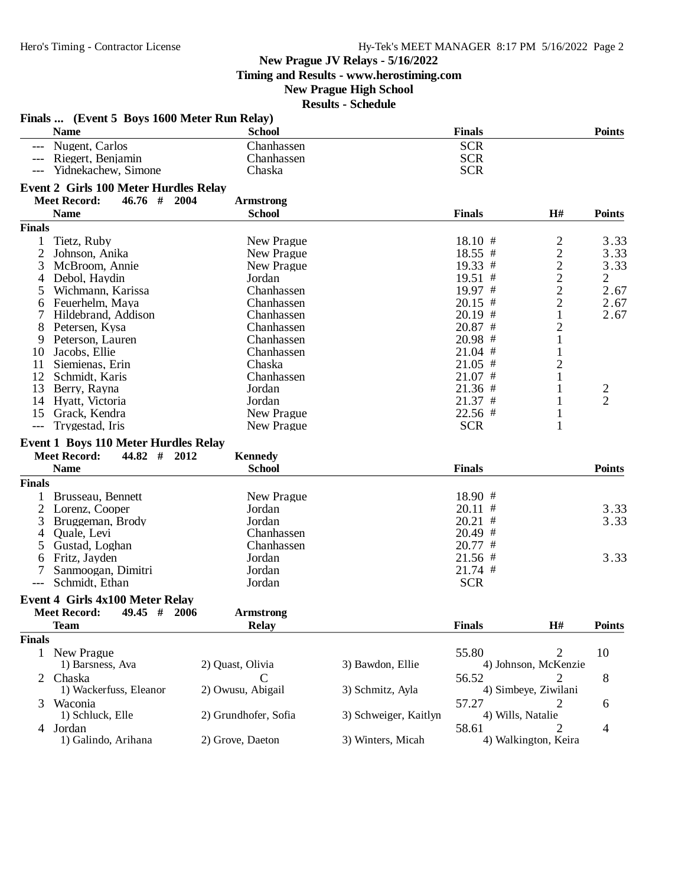**Timing and Results - www.herostiming.com**

## **New Prague High School**

|               | Finals  (Event 5 Boys 1600 Meter Run Relay)  |                      |                       |                   |                           |                         |
|---------------|----------------------------------------------|----------------------|-----------------------|-------------------|---------------------------|-------------------------|
|               | <b>Name</b>                                  | <b>School</b>        |                       | <b>Finals</b>     |                           | <b>Points</b>           |
|               | Nugent, Carlos                               | Chanhassen           |                       | <b>SCR</b>        |                           |                         |
|               | --- Riegert, Benjamin                        | Chanhassen           |                       | <b>SCR</b>        |                           |                         |
|               | Yidnekachew, Simone                          | Chaska               |                       | <b>SCR</b>        |                           |                         |
|               |                                              |                      |                       |                   |                           |                         |
|               | <b>Event 2 Girls 100 Meter Hurdles Relay</b> |                      |                       |                   |                           |                         |
|               | <b>Meet Record:</b><br>$46.76$ # 2004        | <b>Armstrong</b>     |                       |                   |                           |                         |
|               | <b>Name</b>                                  | <b>School</b>        |                       | <b>Finals</b>     | H#                        | <b>Points</b>           |
| <b>Finals</b> |                                              |                      |                       |                   |                           |                         |
| 1             | Tietz, Ruby                                  | New Prague           |                       | $18.10$ #         | $\overline{c}$            | 3.33                    |
| 2             | Johnson, Anika                               | New Prague           |                       | $18.55$ #         | $\overline{c}$            | 3.33                    |
| 3             | McBroom, Annie                               | New Prague           |                       | 19.33 #           | $\overline{c}$            | 3.33                    |
| 4             | Debol, Haydin                                | Jordan               |                       | 19.51 #           | $\overline{c}$            | 2                       |
| 5             | Wichmann, Karissa                            | Chanhassen           |                       | 19.97 #           | $\overline{c}$            | 2.67                    |
| 6             | Feuerhelm, Maya                              | Chanhassen           |                       | $20.15$ #         | $\overline{2}$            | 2.67                    |
|               | Hildebrand, Addison                          | Chanhassen           |                       | $20.19$ #         | 1                         | 2.67                    |
| 8             | Petersen, Kysa                               | Chanhassen           |                       | $20.87$ #         | $\overline{c}$            |                         |
| 9             | Peterson, Lauren                             | Chanhassen           |                       | $20.98$ #         | $\,1$                     |                         |
| 10            | Jacobs, Ellie                                | Chanhassen           |                       | $21.04$ #         | $\mathbf{1}$              |                         |
| 11            | Siemienas, Erin                              | Chaska               |                       | $21.05$ #         | $\overline{c}$            |                         |
|               | 12 Schmidt, Karis                            | Chanhassen           |                       | $21.07$ #         |                           |                         |
|               | 13 Berry, Rayna                              | Jordan               |                       | $21.36$ #         |                           | $\overline{\mathbf{c}}$ |
|               | 14 Hyatt, Victoria                           | Jordan               |                       | $21.37$ #         | 1                         | $\overline{2}$          |
|               | 15 Grack, Kendra                             | New Prague           |                       | 22.56 #           | 1                         |                         |
| $---$         | Trygestad, Iris                              | New Prague           |                       | <b>SCR</b>        | 1                         |                         |
|               |                                              |                      |                       |                   |                           |                         |
|               |                                              |                      |                       |                   |                           |                         |
|               | <b>Event 1 Boys 110 Meter Hurdles Relay</b>  |                      |                       |                   |                           |                         |
|               | <b>Meet Record:</b><br>$44.82$ # 2012        | <b>Kennedy</b>       |                       |                   |                           |                         |
|               | <b>Name</b>                                  | <b>School</b>        |                       | <b>Finals</b>     |                           | <b>Points</b>           |
| <b>Finals</b> |                                              |                      |                       |                   |                           |                         |
|               | 1 Brusseau, Bennett                          | New Prague           |                       | $18.90$ #         |                           |                         |
| 2             | Lorenz, Cooper                               | Jordan               |                       | $20.11$ #         |                           | 3.33                    |
| 3             | Bruggeman, Brody                             | Jordan               |                       | $20.21$ #         |                           | 3.33                    |
| 4             | Quale, Levi                                  | Chanhassen           |                       | $20.49$ #         |                           |                         |
| 5.            | Gustad, Loghan                               | Chanhassen           |                       | $20.77$ #         |                           |                         |
| 6             | Fritz, Jayden                                | Jordan               |                       | $21.56$ #         |                           | 3.33                    |
| 7             | Sanmoogan, Dimitri                           | Jordan               |                       | $21.74$ #         |                           |                         |
| $---$         | Schmidt, Ethan                               | Jordan               |                       | <b>SCR</b>        |                           |                         |
|               |                                              |                      |                       |                   |                           |                         |
|               | <b>Event 4 Girls 4x100 Meter Relay</b>       |                      |                       |                   |                           |                         |
|               | Meet Record: 49.45 # 2006                    | <b>Armstrong</b>     |                       |                   |                           |                         |
|               | <b>Team</b>                                  | <b>Relay</b>         |                       | <b>Finals</b>     | H#                        | <b>Points</b>           |
| <b>Finals</b> |                                              |                      |                       |                   |                           |                         |
|               | 1 New Prague                                 |                      |                       | 55.80             | 2                         | 10                      |
|               | 1) Barsness, Ava                             | 2) Quast, Olivia     | 3) Bawdon, Ellie      |                   | 4) Johnson, McKenzie      |                         |
|               | Chaska                                       |                      |                       | 56.52             |                           | 8                       |
|               | 1) Wackerfuss, Eleanor                       | 2) Owusu, Abigail    | 3) Schmitz, Ayla      |                   | 4) Simbeye, Ziwilani      |                         |
|               | Waconia                                      |                      |                       | 57.27             | 2                         | 6                       |
|               | 1) Schluck, Elle                             | 2) Grundhofer, Sofia | 3) Schweiger, Kaitlyn | 4) Wills, Natalie |                           |                         |
| 4             | Jordan<br>1) Galindo, Arihana                | 2) Grove, Daeton     | 3) Winters, Micah     | 58.61             | 2<br>4) Walkington, Keira | 4                       |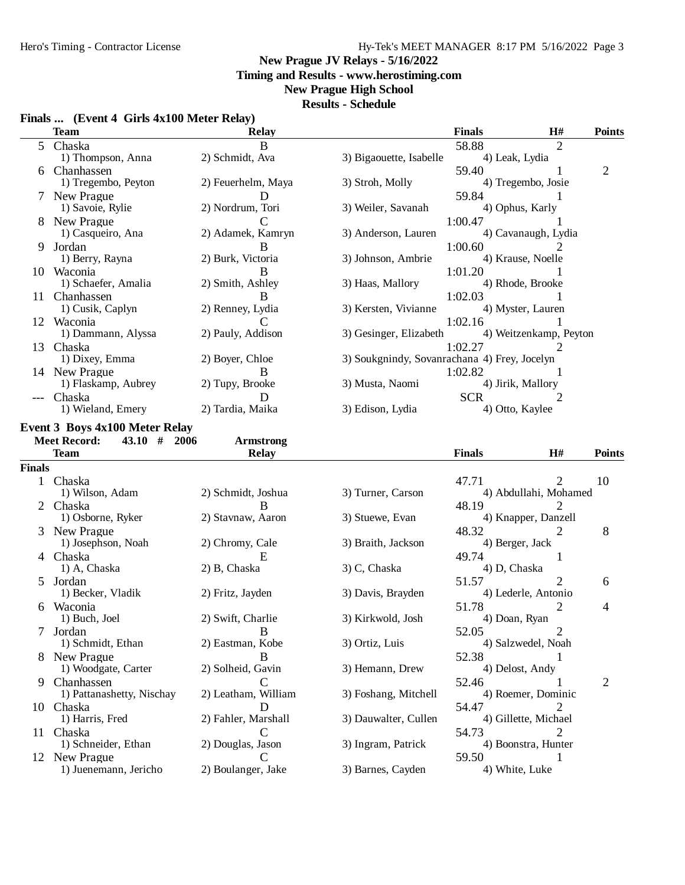## Hero's Timing - Contractor License Hy-Tek's MEET MANAGER 8:17 PM 5/16/2022 Page 3

#### **New Prague JV Relays - 5/16/2022**

**Timing and Results - www.herostiming.com**

## **New Prague High School**

|  |  |  | Finals  (Event 4 Girls 4x100 Meter Relay) |
|--|--|--|-------------------------------------------|
|--|--|--|-------------------------------------------|

|               | Finals  (Event 4 Girls 4x100 Meter Relay)<br><b>Team</b> | <b>Relay</b>                       |                                              | <b>Finals</b>           | H#                     | <b>Points</b>  |
|---------------|----------------------------------------------------------|------------------------------------|----------------------------------------------|-------------------------|------------------------|----------------|
|               | 5 Chaska                                                 | B                                  |                                              | 58.88                   | $\overline{2}$         |                |
|               | 1) Thompson, Anna                                        | 2) Schmidt, Ava                    | 3) Bigaouette, Isabelle                      | 4) Leak, Lydia          |                        |                |
| 6             | Chanhassen                                               |                                    |                                              | 59.40                   |                        | $\overline{2}$ |
|               | 1) Tregembo, Peyton                                      | 2) Feuerhelm, Maya                 | 3) Stroh, Molly                              |                         | 4) Tregembo, Josie     |                |
|               | 7 New Prague                                             | Ð                                  |                                              | 59.84                   | 1                      |                |
|               | 1) Savoie, Rylie                                         | 2) Nordrum, Tori                   | 3) Weiler, Savanah                           |                         | 4) Ophus, Karly        |                |
|               | 8 New Prague                                             | $\mathbf C$                        |                                              | 1:00.47                 |                        |                |
|               | 1) Casqueiro, Ana                                        | 2) Adamek, Kamryn                  | 3) Anderson, Lauren                          |                         | 4) Cavanaugh, Lydia    |                |
|               | 9 Jordan                                                 | B                                  |                                              | 1:00.60                 | 2                      |                |
|               | 1) Berry, Rayna                                          | 2) Burk, Victoria                  | 3) Johnson, Ambrie                           |                         | 4) Krause, Noelle      |                |
|               | 10 Waconia                                               | B                                  |                                              | 1:01.20                 |                        |                |
|               | 1) Schaefer, Amalia                                      | 2) Smith, Ashley                   | 3) Haas, Mallory                             |                         | 4) Rhode, Brooke       |                |
|               | 11 Chanhassen                                            | B                                  |                                              | 1:02.03                 |                        |                |
|               | 1) Cusik, Caplyn                                         | 2) Renney, Lydia                   | 3) Kersten, Vivianne                         |                         | 4) Myster, Lauren      |                |
|               | 12 Waconia                                               | C                                  |                                              | 1:02.16                 |                        |                |
|               | 1) Dammann, Alyssa                                       | 2) Pauly, Addison                  | 3) Gesinger, Elizabeth                       |                         | 4) Weitzenkamp, Peyton |                |
|               |                                                          |                                    |                                              |                         |                        |                |
|               | 13 Chaska                                                |                                    |                                              | 1:02.27                 | 2                      |                |
|               | 1) Dixey, Emma                                           | 2) Boyer, Chloe                    | 3) Soukgnindy, Sovanrachana 4) Frey, Jocelyn |                         |                        |                |
|               | 14 New Prague                                            | B                                  |                                              | 1:02.82                 |                        |                |
|               | 1) Flaskamp, Aubrey                                      | 2) Tupy, Brooke                    | 3) Musta, Naomi                              |                         | 4) Jirik, Mallory      |                |
| $---$         | Chaska                                                   | D                                  |                                              | <b>SCR</b>              |                        |                |
|               | 1) Wieland, Emery                                        | 2) Tardia, Maika                   | 3) Edison, Lydia                             | 4) Otto, Kaylee         |                        |                |
|               | <b>Event 3 Boys 4x100 Meter Relay</b>                    |                                    |                                              |                         |                        |                |
|               | <b>Meet Record:</b><br>$43.10$ # 2006                    | <b>Armstrong</b>                   |                                              |                         |                        |                |
|               | <b>Team</b>                                              | <b>Relay</b>                       |                                              | <b>Finals</b>           | H#                     | <b>Points</b>  |
| <b>Finals</b> |                                                          |                                    |                                              |                         |                        |                |
|               | 1 Chaska                                                 |                                    |                                              | 47.71                   | 2                      | 10             |
|               | 1) Wilson, Adam                                          | 2) Schmidt, Joshua                 | 3) Turner, Carson                            |                         | 4) Abdullahi, Mohamed  |                |
|               | 2 Chaska                                                 | B                                  |                                              | 48.19                   | 2                      |                |
|               | 1) Osborne, Ryker                                        | 2) Stavnaw, Aaron                  | 3) Stuewe, Evan                              |                         | 4) Knapper, Danzell    |                |
|               |                                                          |                                    |                                              |                         |                        |                |
|               | 3 New Prague                                             |                                    |                                              | 48.32                   | 2                      | 8              |
|               | 1) Josephson, Noah                                       | 2) Chromy, Cale                    | 3) Braith, Jackson                           | 4) Berger, Jack         |                        |                |
|               | 4 Chaska                                                 | E                                  |                                              | 49.74                   | 1                      |                |
|               | 1) A, Chaska                                             | 2) B, Chaska                       | 3) C, Chaska                                 | 4) D, Chaska            |                        |                |
|               | 5 Jordan                                                 |                                    |                                              | 51.57                   | 2                      | 6              |
|               | 1) Becker, Vladik                                        | 2) Fritz, Jayden                   | 3) Davis, Brayden                            |                         | 4) Lederle, Antonio    |                |
|               | 6 Waconia                                                |                                    |                                              | 51.78                   | $\overline{2}$         | 4              |
|               | 1) Buch, Joel                                            | 2) Swift, Charlie                  | 3) Kirkwold, Josh                            | 4) Doan, Ryan           |                        |                |
| 7             | Jordan                                                   | B                                  |                                              | 52.05                   | $\overline{c}$         |                |
|               | 1) Schmidt, Ethan                                        | 2) Eastman, Kobe                   | 3) Ortiz, Luis                               |                         | 4) Salzwedel, Noah     |                |
|               | 8 New Prague                                             | B                                  |                                              | 52.38                   |                        |                |
|               |                                                          |                                    |                                              | 4) Delost, Andy         |                        |                |
|               | 1) Woodgate, Carter                                      | 2) Solheid, Gavin                  | 3) Hemann, Drew                              |                         |                        |                |
| 9             |                                                          | C                                  |                                              |                         |                        |                |
|               | Chanhassen<br>1) Pattanashetty, Nischay                  | 2) Leatham, William                |                                              | 52.46                   | 4) Roemer, Dominic     | 2              |
|               |                                                          | D                                  | 3) Foshang, Mitchell                         |                         |                        |                |
|               | 10 Chaska                                                |                                    |                                              | 54.47                   |                        |                |
|               | 1) Harris, Fred                                          | 2) Fahler, Marshall<br>€           | 3) Dauwalter, Cullen                         |                         | 4) Gillette, Michael   |                |
| 11.           | Chaska                                                   |                                    |                                              | 54.73                   |                        |                |
|               | 1) Schneider, Ethan                                      | 2) Douglas, Jason                  | 3) Ingram, Patrick                           |                         | 4) Boonstra, Hunter    |                |
|               | 12 New Prague<br>1) Juenemann, Jericho                   | $\mathsf{C}$<br>2) Boulanger, Jake | 3) Barnes, Cayden                            | 59.50<br>4) White, Luke |                        |                |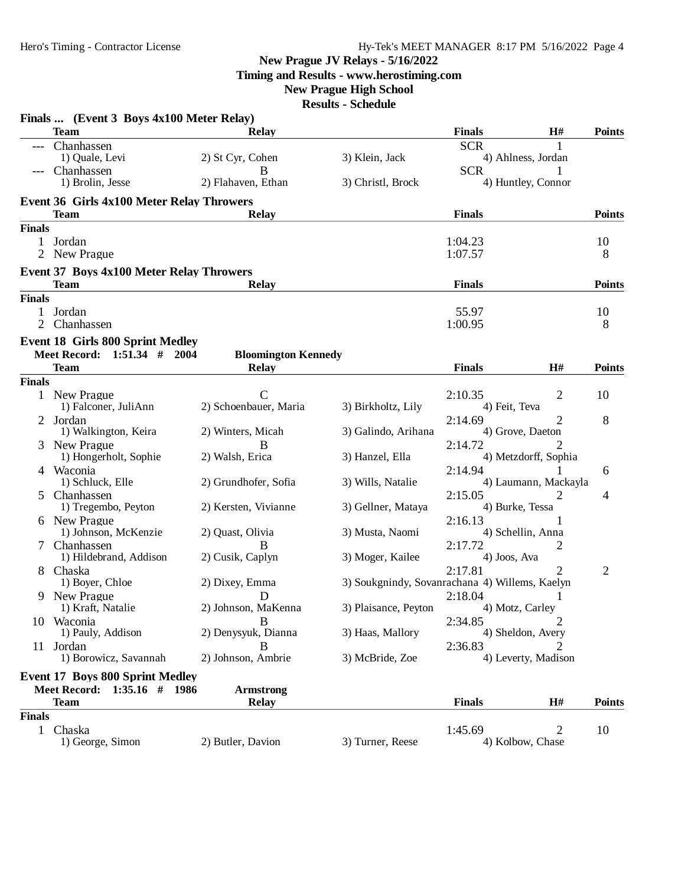**Timing and Results - www.herostiming.com**

## **New Prague High School**

|                   | Finals  (Event 3 Boys 4x100 Meter Relay)                               |                                            |                                                |                         |                                     |               |
|-------------------|------------------------------------------------------------------------|--------------------------------------------|------------------------------------------------|-------------------------|-------------------------------------|---------------|
|                   | <b>Team</b>                                                            | <b>Relay</b>                               |                                                | <b>Finals</b>           | H#                                  | <b>Points</b> |
|                   | Chanhassen                                                             |                                            |                                                | <b>SCR</b>              | 1                                   |               |
|                   | 1) Quale, Levi                                                         | 2) St Cyr, Cohen                           | 3) Klein, Jack                                 |                         | 4) Ahlness, Jordan                  |               |
|                   | Chanhassen<br>1) Brolin, Jesse                                         | В<br>2) Flahaven, Ethan                    | 3) Christl, Brock                              | <b>SCR</b>              | 4) Huntley, Connor                  |               |
|                   | <b>Event 36 Girls 4x100 Meter Relay Throwers</b>                       |                                            |                                                |                         |                                     |               |
|                   | <b>Team</b>                                                            | <b>Relay</b>                               |                                                | <b>Finals</b>           |                                     | <b>Points</b> |
| <b>Finals</b>     |                                                                        |                                            |                                                |                         |                                     |               |
| $\mathbf{1}$      | Jordan                                                                 |                                            |                                                | 1:04.23                 |                                     | 10            |
|                   | 2 New Prague                                                           |                                            |                                                | 1:07.57                 |                                     | 8             |
|                   | <b>Event 37 Boys 4x100 Meter Relay Throwers</b>                        |                                            |                                                |                         |                                     |               |
|                   | <b>Team</b>                                                            | <b>Relay</b>                               |                                                | <b>Finals</b>           |                                     | <b>Points</b> |
| <b>Finals</b>     |                                                                        |                                            |                                                |                         |                                     |               |
| $\mathbf{1}$<br>2 | Jordan<br>Chanhassen                                                   |                                            |                                                | 55.97<br>1:00.95        |                                     | 10            |
|                   |                                                                        |                                            |                                                |                         |                                     | 8             |
|                   | <b>Event 18 Girls 800 Sprint Medley</b><br>Meet Record: 1:51.34 # 2004 |                                            |                                                |                         |                                     |               |
|                   | <b>Team</b>                                                            | <b>Bloomington Kennedy</b><br><b>Relay</b> |                                                | <b>Finals</b>           | H#                                  | <b>Points</b> |
| <b>Finals</b>     |                                                                        |                                            |                                                |                         |                                     |               |
|                   | 1 New Prague                                                           | $\mathcal{C}$                              |                                                | 2:10.35                 | 2                                   | 10            |
|                   | 1) Falconer, JuliAnn                                                   | 2) Schoenbauer, Maria                      | 3) Birkholtz, Lily                             | 4) Feit, Teva           |                                     |               |
|                   | 2 Jordan                                                               |                                            |                                                | 2:14.69                 | $\overline{2}$                      | 8             |
|                   | 1) Walkington, Keira                                                   | 2) Winters, Micah                          | 3) Galindo, Arihana                            |                         | 4) Grove, Daeton                    |               |
|                   | New Prague                                                             | B                                          |                                                | 2:14.72                 |                                     |               |
| 4                 | 1) Hongerholt, Sophie<br>Waconia                                       | 2) Walsh, Erica                            | 3) Hanzel, Ella                                | 2:14.94                 | 4) Metzdorff, Sophia                | 6             |
|                   | 1) Schluck, Elle                                                       | 2) Grundhofer, Sofia                       | 3) Wills, Natalie                              |                         | 4) Laumann, Mackayla                |               |
| 5                 | Chanhassen                                                             |                                            |                                                | 2:15.05                 | 2                                   | 4             |
|                   | 1) Tregembo, Peyton                                                    | 2) Kersten, Vivianne                       | 3) Gellner, Mataya                             |                         | 4) Burke, Tessa                     |               |
|                   | 6 New Prague                                                           |                                            |                                                | 2:16.13                 |                                     |               |
|                   | 1) Johnson, McKenzie                                                   | 2) Quast, Olivia                           | 3) Musta, Naomi                                |                         | 4) Schellin, Anna                   |               |
|                   | Chanhassen<br>1) Hildebrand, Addison                                   | B<br>2) Cusik, Caplyn                      | 3) Moger, Kailee                               | 2:17.72<br>4) Joos, Ava | 2                                   |               |
|                   | 8 Chaska                                                               |                                            |                                                | 2:17.81                 | $\overline{2}$                      | 2             |
|                   | 1) Boyer, Chloe                                                        | 2) Dixey, Emma                             | 3) Soukgnindy, Sovanrachana 4) Willems, Kaelyn |                         |                                     |               |
| 9                 | New Prague                                                             | D                                          |                                                | 2:18.04                 |                                     |               |
|                   | 1) Kraft, Natalie                                                      | 2) Johnson, MaKenna                        | 3) Plaisance, Peyton                           |                         | 4) Motz, Carley                     |               |
|                   | 10 Waconia<br>1) Pauly, Addison                                        | B<br>2) Denysyuk, Dianna                   | 3) Haas, Mallory                               | 2:34.85                 | $\overline{2}$<br>4) Sheldon, Avery |               |
|                   | 11 Jordan                                                              | В                                          |                                                | 2:36.83                 | 2                                   |               |
|                   | 1) Borowicz, Savannah                                                  | 2) Johnson, Ambrie                         | 3) McBride, Zoe                                |                         | 4) Leverty, Madison                 |               |
|                   | <b>Event 17 Boys 800 Sprint Medley</b>                                 |                                            |                                                |                         |                                     |               |
|                   | Meet Record: 1:35.16 # 1986                                            | <b>Armstrong</b>                           |                                                |                         |                                     |               |
|                   | <b>Team</b>                                                            | <b>Relay</b>                               |                                                | <b>Finals</b>           | H#                                  | <b>Points</b> |
| <b>Finals</b>     |                                                                        |                                            |                                                |                         |                                     |               |
|                   | 1 Chaska                                                               |                                            |                                                | 1:45.69                 | 2                                   | 10            |
|                   | 1) George, Simon                                                       | 2) Butler, Davion                          | 3) Turner, Reese                               |                         | 4) Kolbow, Chase                    |               |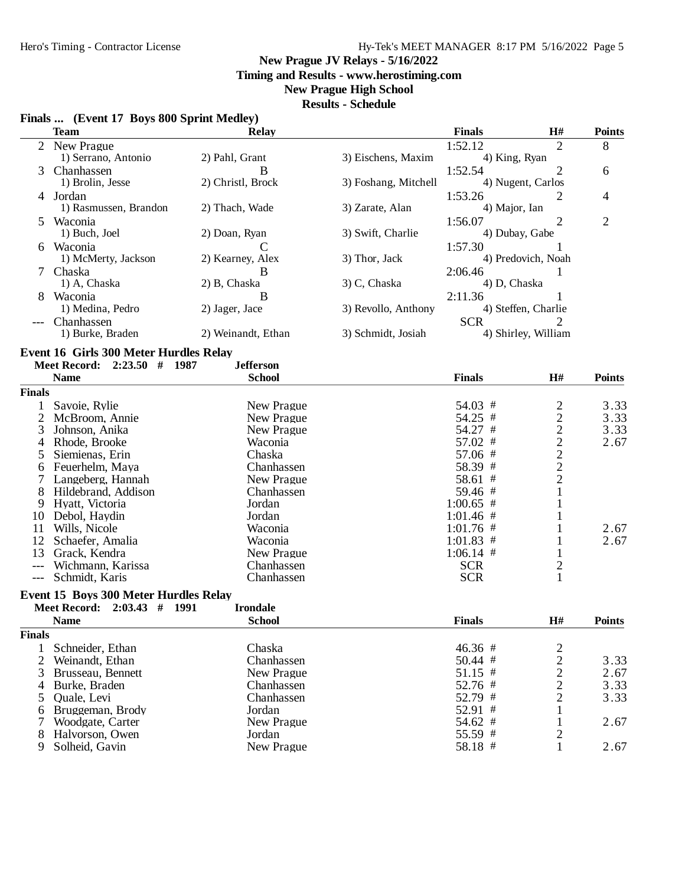## Hy-Tek's MEET MANAGER 8:17 PM 5/16/2022 Page 5

#### **New Prague JV Relays - 5/16/2022**

**Timing and Results - www.herostiming.com**

#### **New Prague High School**

#### **Results - Schedule**

## **Finals ... (Event 17 Boys 800 Sprint Medley)**

|                     | <b>Team</b>                                   | <b>Relay</b>            |                      | <b>Finals</b>  | $\mathbf{H}^{\#}$       | <b>Points</b>  |
|---------------------|-----------------------------------------------|-------------------------|----------------------|----------------|-------------------------|----------------|
|                     | 2 New Prague                                  |                         |                      | 1:52.12        | $\overline{2}$          | 8              |
|                     | 1) Serrano, Antonio                           | 2) Pahl, Grant          | 3) Eischens, Maxim   | 4) King, Ryan  |                         |                |
| 3                   | Chanhassen                                    | B                       |                      | 1:52.54        | $\overline{2}$          | 6              |
|                     | 1) Brolin, Jesse                              | 2) Christl, Brock       | 3) Foshang, Mitchell |                | 4) Nugent, Carlos       |                |
|                     | 4 Jordan                                      |                         |                      | 1:53.26        | 2                       | 4              |
|                     | 1) Rasmussen, Brandon                         | 2) Thach, Wade          | 3) Zarate, Alan      | 4) Major, Ian  |                         |                |
| 5.                  | Waconia                                       |                         |                      | 1:56.07        | $\overline{2}$          | $\overline{2}$ |
|                     | 1) Buch, Joel                                 | 2) Doan, Ryan           | 3) Swift, Charlie    | 4) Dubay, Gabe |                         |                |
|                     | 6 Waconia                                     | $\mathcal{C}$           |                      | 1:57.30        |                         |                |
|                     | 1) McMerty, Jackson                           | 2) Kearney, Alex        | 3) Thor, Jack        |                | 4) Predovich, Noah      |                |
| 7                   | Chaska                                        | B                       |                      | 2:06.46        | 1                       |                |
|                     | 1) A, Chaska                                  | 2) B, Chaska            | 3) C, Chaska         | 4) D, Chaska   |                         |                |
|                     | Waconia                                       | В                       |                      | 2:11.36        |                         |                |
|                     | 1) Medina, Pedro                              | 2) Jager, Jace          | 3) Revollo, Anthony  |                | 4) Steffen, Charlie     |                |
|                     | Chanhassen                                    |                         |                      | <b>SCR</b>     | 2                       |                |
|                     | 1) Burke, Braden                              | 2) Weinandt, Ethan      | 3) Schmidt, Josiah   |                | 4) Shirley, William     |                |
|                     |                                               |                         |                      |                |                         |                |
|                     | <b>Event 16 Girls 300 Meter Hurdles Relay</b> |                         |                      |                |                         |                |
|                     | Meet Record: 2:23.50 # 1987                   | <b>Jefferson</b>        |                      |                |                         |                |
|                     | <b>Name</b>                                   | <b>School</b>           |                      | <b>Finals</b>  | H#                      | <b>Points</b>  |
| Finals              |                                               |                         |                      |                |                         |                |
| 1                   | Savoie, Rylie                                 | New Prague              |                      | 54.03 #        | $\overline{\mathbf{c}}$ | 3.33           |
| $\overline{c}$      | McBroom, Annie                                | New Prague              |                      | 54.25 #        |                         | 3.33           |
| 3                   | Johnson, Anika                                | New Prague              |                      | 54.27 #        | $2222$<br>$222$         | 3.33           |
| 4                   | Rhode, Brooke                                 | Waconia                 |                      | 57.02 #        |                         | 2.67           |
| 5                   | Siemienas, Erin                               | Chaska                  |                      | 57.06 #        |                         |                |
| 6                   | Feuerhelm, Maya                               | Chanhassen              |                      | 58.39 #        |                         |                |
| 7                   | Langeberg, Hannah                             | New Prague              |                      | 58.61 #        |                         |                |
| 8                   | Hildebrand, Addison                           | Chanhassen              |                      | 59.46 #        | $\mathbf{1}$            |                |
| 9                   | Hyatt, Victoria                               | Jordan                  |                      | $1:00.65$ #    |                         |                |
| 10                  | Debol, Haydin                                 | Jordan                  |                      | $1:01.46$ #    |                         |                |
| 11                  | Wills, Nicole                                 | Waconia                 |                      | $1:01.76$ #    | 1                       | 2.67           |
| 12                  | Schaefer, Amalia                              | Waconia                 |                      | $1:01.83$ #    | 1                       | 2.67           |
| 13                  | Grack, Kendra                                 | New Prague              |                      | $1:06.14$ #    | $\mathbf{1}$            |                |
|                     | Wichmann, Karissa                             | Chanhassen              |                      | <b>SCR</b>     | $\overline{c}$          |                |
| $\qquad \qquad - -$ | Schmidt, Karis                                | Chanhassen              |                      | <b>SCR</b>     | $\mathbf{1}$            |                |
|                     |                                               |                         |                      |                |                         |                |
|                     | <b>Event 15 Boys 300 Meter Hurdles Relay</b>  |                         |                      |                |                         |                |
|                     | <b>Meet Record:</b><br>$2:03.43$ #            | 1991<br><b>Irondale</b> |                      |                |                         |                |
|                     | <b>Name</b>                                   | <b>School</b>           |                      | <b>Finals</b>  | H#                      | <b>Points</b>  |
| Finals              |                                               |                         |                      |                |                         |                |
| $\mathbf{1}$        | Schneider, Ethan                              | Chaska                  |                      | 46.36 #        | $\frac{2}{2}$           |                |
| $\overline{c}$      | Weinandt, Ethan                               | Chanhassen              |                      | 50.44 #        |                         | 3.33           |
| 3                   | Brusseau, Bennett                             | New Prague              |                      | 51.15 #        |                         | 2.67           |
| 4                   | Burke, Braden                                 | Chanhassen              |                      | 52.76 #        | $\frac{2}{2}$           | 3.33           |
| 5                   | Quale, Levi                                   | Chanhassen              |                      | 52.79 #        |                         | 3.33           |
| 6                   | Bruggeman, Brody                              | Jordan                  |                      | 52.91 #        | $\mathbf{1}$            |                |
| 7                   | Woodgate, Carter                              | New Prague              |                      | 54.62 #        | $\mathbf{1}$            | 2.67           |
| 8                   | Halvorson, Owen                               | Jordan                  |                      | 55.59 #        | $\overline{c}$          |                |
| 9                   | Solheid, Gavin                                | New Prague              |                      | 58.18 #        | 1                       | 2.67           |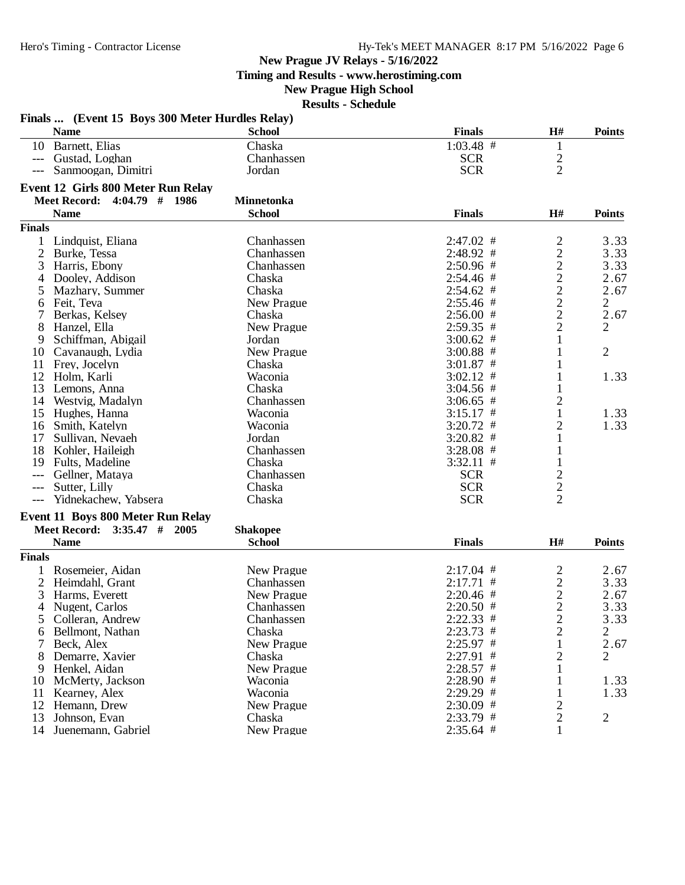**Timing and Results - www.herostiming.com**

## **New Prague High School**

|                | Finals  (Event 15 Boys 300 Meter Hurdles Relay)<br><b>Name</b> | <b>School</b>     | <b>Finals</b> | H#                                         | <b>Points</b>  |
|----------------|----------------------------------------------------------------|-------------------|---------------|--------------------------------------------|----------------|
|                | 10 Barnett, Elias                                              | Chaska            | $1:03.48$ #   | $\mathbf{1}$                               |                |
|                | --- Gustad, Loghan                                             | Chanhassen        | <b>SCR</b>    |                                            |                |
| $---$          | Sanmoogan, Dimitri                                             | Jordan            | <b>SCR</b>    | $\frac{2}{2}$                              |                |
|                | Event 12 Girls 800 Meter Run Relay                             |                   |               |                                            |                |
|                | Meet Record: 4:04.79 # 1986                                    | <b>Minnetonka</b> |               |                                            |                |
|                | <b>Name</b>                                                    | <b>School</b>     | <b>Finals</b> | H#                                         | <b>Points</b>  |
| <b>Finals</b>  |                                                                |                   |               |                                            |                |
|                | 1 Lindquist, Eliana                                            | Chanhassen        | $2:47.02$ #   | $\overline{c}$                             | 3.33           |
| $\overline{2}$ | Burke, Tessa                                                   | Chanhassen        | 2:48.92 #     |                                            | 3.33           |
| 3              | Harris, Ebony                                                  | Chanhassen        | $2:50.96$ #   | $\frac{2}{2}$                              | 3.33           |
| 4              | Dooley, Addison                                                | Chaska            | $2:54.46$ #   |                                            | 2.67           |
| 5              | Mazhary, Summer                                                | Chaska            | $2:54.62$ #   | $\begin{array}{c} 2 \\ 2 \\ 2 \end{array}$ | 2.67           |
| 6              | Feit, Teva                                                     | New Prague        | $2:55.46$ #   |                                            | 2              |
|                | Berkas, Kelsey                                                 | Chaska            | $2:56.00$ #   |                                            | 2.67           |
| 8              | Hanzel, Ella                                                   | New Prague        | $2:59.35$ #   | $\overline{2}$                             | $\overline{2}$ |
| 9              | Schiffman, Abigail                                             | Jordan            | $3:00.62$ #   | 1                                          |                |
|                | 10 Cavanaugh, Lydia                                            | New Prague        | $3:00.88$ #   | 1                                          | 2              |
|                |                                                                |                   | $3:01.87$ #   |                                            |                |
|                | 11 Frey, Jocelyn<br>12 Holm, Karli                             | Chaska<br>Waconia |               |                                            | 1.33           |
|                |                                                                |                   | $3:02.12$ #   | 1                                          |                |
| 13             | Lemons, Anna                                                   | Chaska            | $3:04.56$ #   | 1                                          |                |
|                | 14 Westvig, Madalyn                                            | Chanhassen        | $3:06.65$ #   | 2                                          |                |
|                | 15 Hughes, Hanna                                               | Waconia           | $3:15.17$ #   | 1                                          | 1.33           |
|                | 16 Smith, Katelyn                                              | Waconia           | $3:20.72$ #   | $\overline{2}$                             | 1.33           |
| 17             | Sullivan, Nevaeh                                               | Jordan            | $3:20.82$ #   |                                            |                |
|                | 18 Kohler, Haileigh                                            | Chanhassen        | $3:28.08$ #   |                                            |                |
| 19             | Fults, Madeline                                                | Chaska            | $3:32.11$ #   | $\mathbf{1}$                               |                |
|                | --- Gellner, Mataya                                            | Chanhassen        | <b>SCR</b>    | $\frac{2}{2}$                              |                |
| $---$          | Sutter, Lilly                                                  | Chaska            | <b>SCR</b>    |                                            |                |
| $---$          | Yidnekachew, Yabsera                                           | Chaska            | <b>SCR</b>    | $\overline{2}$                             |                |
|                | Event 11 Boys 800 Meter Run Relay                              |                   |               |                                            |                |
|                | Meet Record: 3:35.47 # 2005                                    | <b>Shakopee</b>   |               |                                            |                |
|                | <b>Name</b>                                                    | <b>School</b>     | <b>Finals</b> | H#                                         | <b>Points</b>  |
| <b>Finals</b>  |                                                                |                   |               |                                            |                |
|                | 1 Rosemeier, Aidan                                             | New Prague        | $2:17.04$ #   | $\overline{c}$                             | 2.67           |
| 2              | Heimdahl, Grant                                                | Chanhassen        | $2:17.71$ #   |                                            | 3.33           |
|                | 3 Harms, Everett                                               | New Prague        | $2:20.46$ #   | $\frac{2}{2}$                              | 2.67           |
|                | 4 Nugent, Carlos                                               | Chanhassen        | $2:20.50$ #   | $\overline{c}$                             | 3.33           |
|                | 5 Colleran, Andrew                                             | Chanhassen        | $2:22.33$ #   | 2                                          | 3.33           |
|                | 6 Bellmont, Nathan                                             | Chaska            | $2:23.73$ #   | $\overline{c}$                             | $\overline{2}$ |
|                | Beck, Alex                                                     | New Prague        | $2:25.97$ #   | 1                                          | 2.67           |
|                | 8 Demarre, Xavier                                              | Chaska            | $2:27.91$ #   | 2                                          | $\overline{2}$ |
|                | 9 Henkel, Aidan                                                | New Prague        | $2:28.57$ #   | 1                                          |                |
|                | 10 McMerty, Jackson                                            | Waconia           | $2:28.90$ #   | 1                                          | 1.33           |
|                | 11 Kearney, Alex                                               | Waconia           | $2:29.29$ #   |                                            | 1.33           |
|                | 12 Hemann, Drew                                                | New Prague        | $2:30.09$ #   | $\overline{c}$                             |                |
|                | 13 Johnson, Evan                                               | Chaska            | 2:33.79 #     | 2                                          | 2              |
|                |                                                                |                   |               |                                            |                |
|                | 14 Juenemann, Gabriel                                          | New Prague        | $2:35.64$ #   | 1                                          |                |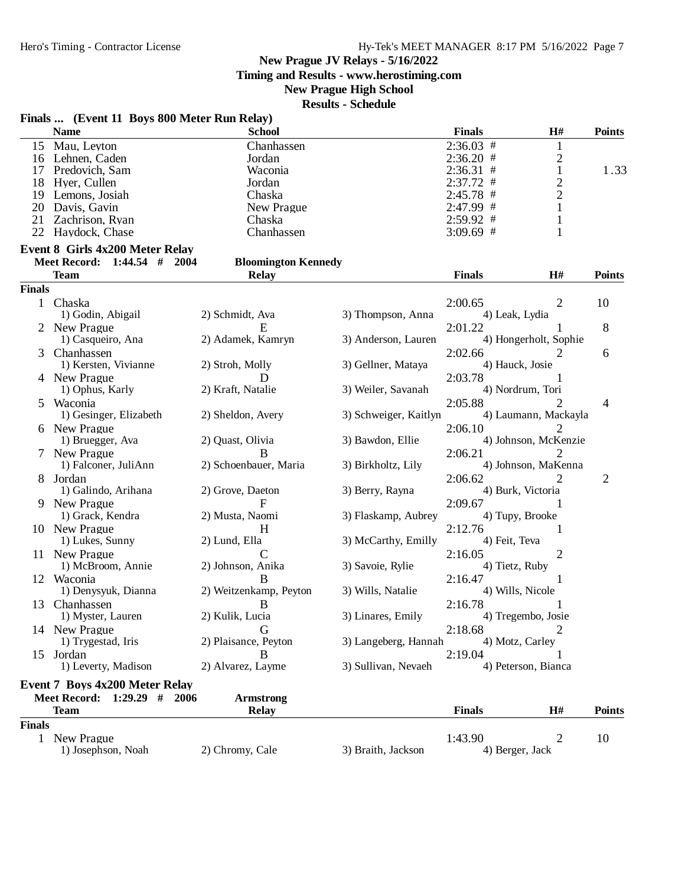**Timing and Results - www.herostiming.com**

## **New Prague High School**

|               | Finals  (Event 11 Boys 800 Meter Run Relay) |                                    |                       |               |                       |                |
|---------------|---------------------------------------------|------------------------------------|-----------------------|---------------|-----------------------|----------------|
|               | <b>Name</b>                                 | <b>School</b>                      |                       | <b>Finals</b> | H#                    | <b>Points</b>  |
|               | 15 Mau, Leyton                              | Chanhassen                         |                       | $2:36.03$ #   | $\mathbf{1}$          |                |
|               | 16 Lehnen, Caden                            | Jordan                             |                       | $2:36.20$ #   | $\overline{c}$        |                |
|               | 17 Predovich, Sam                           | Waconia                            |                       | $2:36.31$ #   | $\mathbf{1}$          | 1.33           |
| 18            | Hyer, Cullen                                | Jordan                             |                       | $2:37.72$ #   | $\overline{c}$        |                |
| 19            | Lemons, Josiah                              | Chaska                             |                       | 2:45.78 #     | $\overline{2}$        |                |
| 20            | Davis, Gavin                                | New Prague                         |                       | 2:47.99 #     | 1                     |                |
| 21            | Zachrison, Ryan                             | Chaska                             |                       | $2:59.92$ #   | 1                     |                |
| 22            | Haydock, Chase                              | Chanhassen                         |                       | $3:09.69$ #   | 1                     |                |
|               | <b>Event 8 Girls 4x200 Meter Relay</b>      |                                    |                       |               |                       |                |
|               | Meet Record: 1:44.54 #                      | 2004<br><b>Bloomington Kennedy</b> |                       |               |                       |                |
|               | <b>Team</b>                                 | <b>Relay</b>                       |                       | <b>Finals</b> | H#                    | <b>Points</b>  |
| <b>Finals</b> |                                             |                                    |                       |               |                       |                |
|               |                                             |                                    |                       |               |                       |                |
| $\mathbf{1}$  | Chaska                                      |                                    |                       | 2:00.65       | $\overline{2}$        | 10             |
|               | 1) Godin, Abigail                           | 2) Schmidt, Ava                    | 3) Thompson, Anna     |               | 4) Leak, Lydia        |                |
| 2             | New Prague                                  | E                                  |                       | 2:01.22       |                       | 8              |
|               | 1) Casqueiro, Ana                           | 2) Adamek, Kamryn                  | 3) Anderson, Lauren   |               | 4) Hongerholt, Sophie |                |
| 3             | Chanhassen                                  |                                    |                       | 2:02.66       | 2                     | 6              |
|               | 1) Kersten, Vivianne                        | 2) Stroh, Molly                    | 3) Gellner, Mataya    |               | 4) Hauck, Josie       |                |
|               | 4 New Prague                                | D                                  |                       | 2:03.78       |                       |                |
|               | 1) Ophus, Karly                             | 2) Kraft, Natalie                  | 3) Weiler, Savanah    |               | 4) Nordrum, Tori      |                |
| 5             | Waconia                                     |                                    |                       | 2:05.88       | 2                     | 4              |
|               | 1) Gesinger, Elizabeth                      | 2) Sheldon, Avery                  | 3) Schweiger, Kaitlyn |               | 4) Laumann, Mackayla  |                |
|               | 6 New Prague                                |                                    |                       | 2:06.10       |                       |                |
|               | 1) Bruegger, Ava                            | 2) Quast, Olivia                   | 3) Bawdon, Ellie      |               | 4) Johnson, McKenzie  |                |
|               | New Prague                                  | B                                  |                       | 2:06.21       | 2                     |                |
|               | 1) Falconer, JuliAnn                        | 2) Schoenbauer, Maria              | 3) Birkholtz, Lily    |               | 4) Johnson, MaKenna   |                |
| 8             | Jordan                                      |                                    |                       | 2:06.62       | 2                     | $\overline{2}$ |
|               | 1) Galindo, Arihana                         | 2) Grove, Daeton                   | 3) Berry, Rayna       |               | 4) Burk, Victoria     |                |
|               | 9 New Prague                                | F                                  |                       | 2:09.67       | 1                     |                |
|               | 1) Grack, Kendra                            | 2) Musta, Naomi                    | 3) Flaskamp, Aubrey   |               | 4) Tupy, Brooke       |                |
|               | 10 New Prague                               | H                                  |                       | 2:12.76       | 1                     |                |
|               | 1) Lukes, Sunny                             | 2) Lund, Ella                      | 3) McCarthy, Emilly   |               | 4) Feit, Teva         |                |
|               | 11 New Prague                               | $\overline{C}$                     |                       | 2:16.05       | 2                     |                |
|               | 1) McBroom, Annie                           | 2) Johnson, Anika                  | 3) Savoie, Rylie      |               | 4) Tietz, Ruby        |                |
|               |                                             |                                    |                       |               |                       |                |
|               | 12 Waconia                                  | B                                  |                       | 2:16.47       |                       |                |
|               | 1) Denysyuk, Dianna                         | 2) Weitzenkamp, Peyton             | 3) Wills, Natalie     |               | 4) Wills, Nicole      |                |
|               | 13 Chanhassen                               | B                                  |                       | 2:16.78       |                       |                |
|               | 1) Myster, Lauren                           | 2) Kulik, Lucia                    | 3) Linares, Emily     |               | 4) Tregembo, Josie    |                |
|               | 14 New Prague                               | G                                  |                       | 2:18.68       | 2                     |                |
|               | 1) Trygestad, Iris                          | 2) Plaisance, Peyton               | 3) Langeberg, Hannah  |               | 4) Motz, Carley       |                |
|               | 15 Jordan                                   | B                                  |                       | 2:19.04       | 1                     |                |
|               | 1) Leverty, Madison                         | 2) Alvarez, Layme                  | 3) Sullivan, Nevaeh   |               | 4) Peterson, Bianca   |                |
|               | <b>Event 7 Boys 4x200 Meter Relay</b>       |                                    |                       |               |                       |                |
|               | Meet Record: 1:29.29 # 2006                 | <b>Armstrong</b>                   |                       |               |                       |                |
|               | <b>Team</b>                                 | <b>Relay</b>                       |                       | <b>Finals</b> | H#                    | <b>Points</b>  |
| <b>Finals</b> |                                             |                                    |                       |               |                       |                |
| $\mathbf{1}$  | New Prague                                  |                                    |                       | 1:43.90       | 2                     | 10             |
|               | 1) Josephson, Noah                          | 2) Chromy, Cale                    | 3) Braith, Jackson    |               | 4) Berger, Jack       |                |
|               |                                             |                                    |                       |               |                       |                |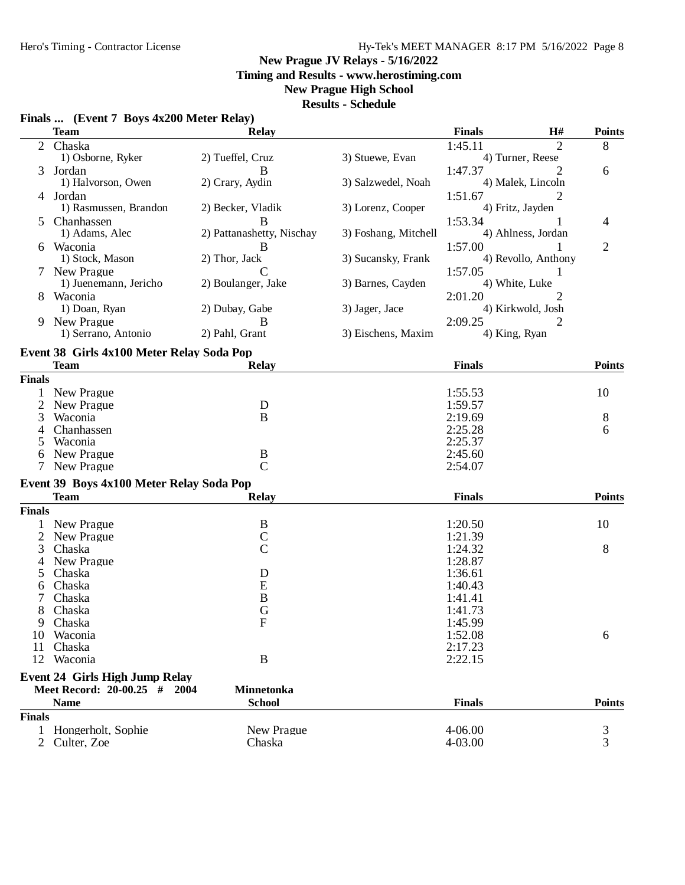## Hero's Timing - Contractor License Hy-Tek's MEET MANAGER 8:17 PM 5/16/2022 Page 8

#### **New Prague JV Relays - 5/16/2022**

**Timing and Results - www.herostiming.com**

## **New Prague High School**

#### **Results - Schedule**

|                | <b>Team</b>                                              | <b>Relay</b>              |                      | <b>Finals</b> | $\mathbf{H}$ #      | <b>Points</b>  |
|----------------|----------------------------------------------------------|---------------------------|----------------------|---------------|---------------------|----------------|
| $\overline{2}$ | Chaska                                                   |                           |                      | 1:45.11       | $\overline{2}$      | 8              |
|                | 1) Osborne, Ryker                                        | 2) Tueffel, Cruz          | 3) Stuewe, Evan      |               | 4) Turner, Reese    |                |
| 3              | Jordan                                                   | B                         |                      | 1:47.37       | 2                   | 6              |
|                | 1) Halvorson, Owen                                       | 2) Crary, Aydin           | 3) Salzwedel, Noah   |               | 4) Malek, Lincoln   |                |
|                | 4 Jordan                                                 |                           |                      | 1:51.67       | 2                   |                |
|                | 1) Rasmussen, Brandon                                    | 2) Becker, Vladik         | 3) Lorenz, Cooper    |               | 4) Fritz, Jayden    |                |
| $\mathcal{F}$  | Chanhassen                                               | B                         |                      | 1:53.34       |                     | 4              |
|                | 1) Adams, Alec                                           | 2) Pattanashetty, Nischay | 3) Foshang, Mitchell |               | 4) Ahlness, Jordan  |                |
|                | 6 Waconia                                                | B                         |                      | 1:57.00       |                     | $\overline{2}$ |
|                | 1) Stock, Mason                                          | 2) Thor, Jack             | 3) Sucansky, Frank   |               | 4) Revollo, Anthony |                |
|                | New Prague                                               | $\overline{C}$            |                      | 1:57.05       | 1                   |                |
|                | 1) Juenemann, Jericho                                    | 2) Boulanger, Jake        | 3) Barnes, Cayden    |               | 4) White, Luke      |                |
| 8              | Waconia                                                  |                           |                      | 2:01.20       | 2                   |                |
|                | 1) Doan, Ryan                                            | 2) Dubay, Gabe            | 3) Jager, Jace       |               | 4) Kirkwold, Josh   |                |
|                | New Prague                                               | В                         |                      | 2:09.25       | 2                   |                |
|                | 1) Serrano, Antonio                                      | 2) Pahl, Grant            | 3) Eischens, Maxim   | 4) King, Ryan |                     |                |
|                |                                                          |                           |                      |               |                     |                |
|                | Event 38 Girls 4x100 Meter Relay Soda Pop<br><b>Team</b> |                           |                      | <b>Finals</b> |                     | <b>Points</b>  |
|                |                                                          | <b>Relay</b>              |                      |               |                     |                |
| <b>Finals</b>  |                                                          |                           |                      |               |                     |                |
|                | New Prague                                               |                           |                      | 1:55.53       |                     | 10             |
| $\overline{c}$ | New Prague                                               | D                         |                      | 1:59.57       |                     |                |
| 3              | Waconia                                                  | B                         |                      | 2:19.69       |                     | 8              |
| 4              | Chanhassen                                               |                           |                      | 2:25.28       |                     | 6              |
|                | Waconia                                                  |                           |                      | 2:25.37       |                     |                |
| 6              | New Prague                                               | B                         |                      | 2:45.60       |                     |                |
|                | New Prague                                               | $\mathcal{C}$             |                      | 2:54.07       |                     |                |
|                | Event 39 Boys 4x100 Meter Relay Soda Pop                 |                           |                      |               |                     |                |
|                | <b>Team</b>                                              | <b>Relay</b>              |                      | <b>Finals</b> |                     | <b>Points</b>  |
| <b>Finals</b>  |                                                          |                           |                      |               |                     |                |
|                | New Prague                                               | B                         |                      | 1:20.50       |                     | 10             |
| 2              | New Prague                                               | $\mathcal{C}$             |                      | 1:21.39       |                     |                |
| 3              | Chaska                                                   | $\overline{C}$            |                      | 1:24.32       |                     | 8              |
| 4              | New Prague                                               |                           |                      | 1:28.87       |                     |                |
| 5              | Chaska                                                   | D                         |                      | 1:36.61       |                     |                |
| 6              | Chaska                                                   | E                         |                      | 1:40.43       |                     |                |
|                | Chaska                                                   | B                         |                      | 1:41.41       |                     |                |
| 8              | Chaska                                                   | G                         |                      | 1:41.73       |                     |                |
| 9              | Chaska                                                   | F                         |                      | 1:45.99       |                     |                |
|                | 10 Waconia                                               |                           |                      | 1:52.08       |                     | 6              |
| 11             | Chaska                                                   |                           |                      | 2:17.23       |                     |                |
| 12             | Waconia                                                  | B                         |                      | 2:22.15       |                     |                |
|                | <b>Event 24 Girls High Jump Relay</b>                    |                           |                      |               |                     |                |
|                | Meet Record: 20-00.25 # 2004                             | <b>Minnetonka</b>         |                      |               |                     |                |
|                | <b>Name</b>                                              | <b>School</b>             |                      | <b>Finals</b> |                     | <b>Points</b>  |
|                |                                                          |                           |                      |               |                     |                |
| <b>Finals</b>  |                                                          |                           |                      |               |                     |                |
| 1              | Hongerholt, Sophie                                       | New Prague                |                      | 4-06.00       |                     | 3              |
|                | Culter, Zoe                                              | Chaska                    |                      | 4-03.00       |                     | 3              |

#### **Finals ... (Event 7 Boys 4x200 Meter Relay)**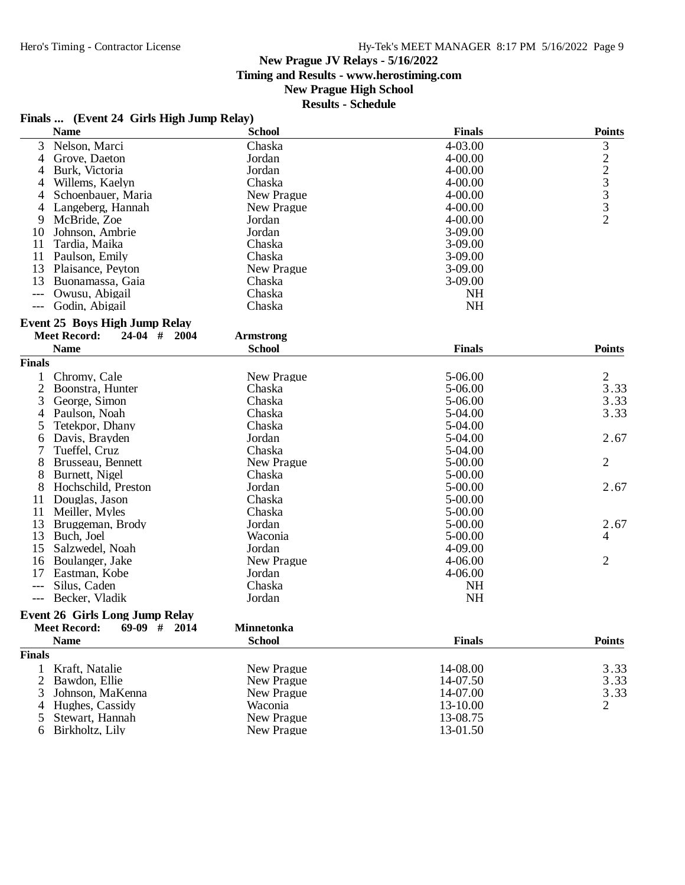**Timing and Results - www.herostiming.com**

## **New Prague High School**

| <b>Name</b>                           | <b>School</b>    | <b>Finals</b> | <b>Points</b>  |
|---------------------------------------|------------------|---------------|----------------|
| 3<br>Nelson, Marci                    | Chaska           | 4-03.00       | 3              |
| Grove, Daeton<br>4                    | Jordan           | 4-00.00       |                |
| Burk, Victoria<br>4                   | Jordan           | 4-00.00       | 223332         |
| Willems, Kaelyn<br>4                  | Chaska           | $4 - 00.00$   |                |
| Schoenbauer, Maria<br>4               | New Prague       | 4-00.00       |                |
| 4<br>Langeberg, Hannah                | New Prague       | 4-00.00       |                |
| 9<br>McBride, Zoe                     | Jordan           | 4-00.00       |                |
| 10<br>Johnson, Ambrie                 | Jordan           | 3-09.00       |                |
| 11<br>Tardia, Maika                   | Chaska           | 3-09.00       |                |
| 11<br>Paulson, Emily                  | Chaska           | $3-09.00$     |                |
| 13<br>Plaisance, Peyton               | New Prague       | 3-09.00       |                |
| 13<br>Buonamassa, Gaia                | Chaska           | 3-09.00       |                |
| Owusu, Abigail                        | Chaska           | <b>NH</b>     |                |
| Godin, Abigail<br>$---$               | Chaska           | <b>NH</b>     |                |
| <b>Event 25 Boys High Jump Relay</b>  |                  |               |                |
| <b>Meet Record:</b><br>$24-04$ # 2004 | <b>Armstrong</b> |               |                |
| <b>Name</b>                           | <b>School</b>    | <b>Finals</b> | <b>Points</b>  |
| Finals                                |                  |               |                |
| Chromy, Cale<br>1                     | New Prague       | 5-06.00       | $\overline{c}$ |
| $\overline{c}$<br>Boonstra, Hunter    | Chaska           | 5-06.00       | 3.33           |
| George, Simon<br>3                    | Chaska           | 5-06.00       | 3.33           |
| 4<br>Paulson, Noah                    | Chaska           | 5-04.00       | 3.33           |
| 5<br>Tetekpor, Dhany                  | Chaska           | 5-04.00       |                |
| Davis, Brayden<br>6                   | Jordan           | 5-04.00       | 2.67           |
| 7<br>Tueffel, Cruz                    | Chaska           | 5-04.00       |                |
| 8<br>Brusseau, Bennett                | New Prague       | 5-00.00       | $\overline{2}$ |
| 8<br>Burnett, Nigel                   | Chaska           | 5-00.00       |                |
| 8<br>Hochschild, Preston              | Jordan           | 5-00.00       | 2.67           |
| Douglas, Jason<br>11                  | Chaska           | 5-00.00       |                |
| 11<br>Meiller, Myles                  | Chaska           | 5-00.00       |                |
| 13<br>Bruggeman, Brody                | Jordan           | 5-00.00       | 2.67           |
| 13<br>Buch, Joel                      | Waconia          | 5-00.00       | 4              |
| 15<br>Salzwedel, Noah                 | Jordan           | 4-09.00       |                |
| 16<br>Boulanger, Jake                 | New Prague       | 4-06.00       | 2              |
| 17<br>Eastman, Kobe                   | Jordan           | 4-06.00       |                |
| Silus, Caden<br>$---$                 | Chaska           | <b>NH</b>     |                |
| Becker, Vladik<br>$\qquad \qquad - -$ | Jordan           | <b>NH</b>     |                |
| <b>Event 26 Girls Long Jump Relay</b> |                  |               |                |
| Meet Record: 69-09 # 2014             | Minnetonka       |               |                |
| <b>Name</b>                           | <b>School</b>    | <b>Finals</b> | <b>Points</b>  |
| <b>Finals</b>                         |                  |               |                |
| Kraft, Natalie<br>1                   | New Prague       | 14-08.00      | 3.33           |
| 2<br>Bawdon, Ellie                    | New Prague       | 14-07.50      | 3.33           |
| 3<br>Johnson, MaKenna                 | New Prague       | 14-07.00      | 3.33           |
| Hughes, Cassidy<br>4                  | Waconia          | 13-10.00      | 2              |
| Stewart, Hannah<br>5                  | New Prague       | 13-08.75      |                |
| Birkholtz, Lily<br>6                  | New Prague       | 13-01.50      |                |
|                                       |                  |               |                |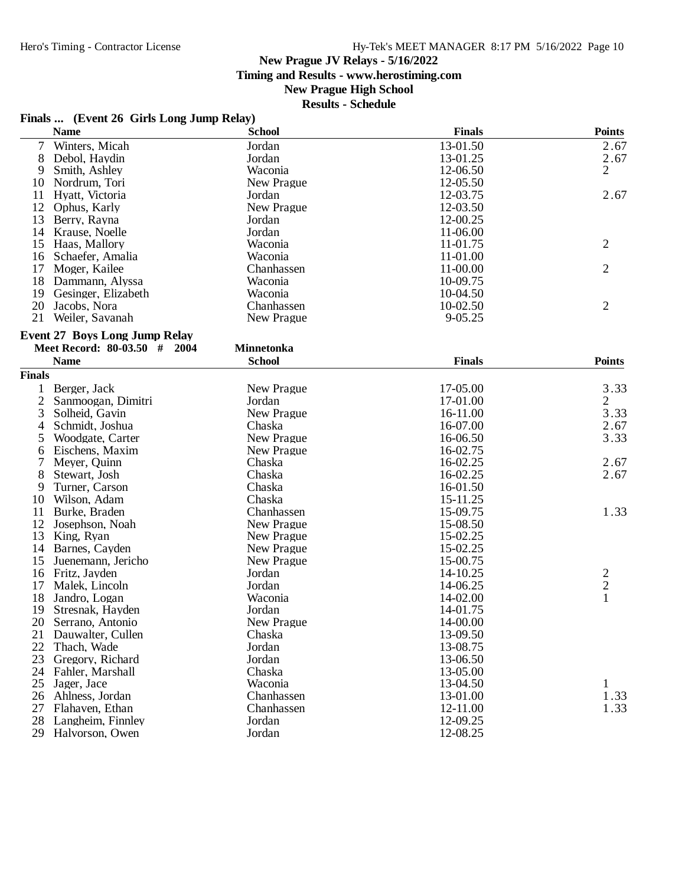**Timing and Results - www.herostiming.com**

## **New Prague High School**

#### **Results - Schedule**

## **Finals ... (Event 26 Girls Long Jump Relay)**

|                | <b>Name</b>                          | <b>School</b>     | <b>Finals</b> | <b>Points</b>  |
|----------------|--------------------------------------|-------------------|---------------|----------------|
| 7              | Winters, Micah                       | Jordan            | 13-01.50      | 2.67           |
| 8              | Debol, Haydin                        | Jordan            | 13-01.25      | 2.67           |
| 9              | Smith, Ashley                        | Waconia           | 12-06.50      | $\overline{2}$ |
| 10             | Nordrum, Tori                        | New Prague        | 12-05.50      |                |
| 11             | Hyatt, Victoria                      | Jordan            | 12-03.75      | 2.67           |
| 12             | Ophus, Karly                         | New Prague        | 12-03.50      |                |
| 13             | Berry, Rayna                         | Jordan            | 12-00.25      |                |
| 14             | Krause, Noelle                       | Jordan            | 11-06.00      |                |
| 15             | Haas, Mallory                        | Waconia           | 11-01.75      | $\overline{2}$ |
| 16             | Schaefer, Amalia                     | Waconia           | 11-01.00      |                |
| 17             | Moger, Kailee                        | Chanhassen        | 11-00.00      | $\overline{2}$ |
| 18             | Dammann, Alyssa                      | Waconia           | 10-09.75      |                |
| 19             | Gesinger, Elizabeth                  | Waconia           | 10-04.50      |                |
| 20             | Jacobs, Nora                         | Chanhassen        | 10-02.50      | $\overline{2}$ |
| 21             | Weiler, Savanah                      | New Prague        | 9-05.25       |                |
|                |                                      |                   |               |                |
|                | <b>Event 27 Boys Long Jump Relay</b> |                   |               |                |
|                | Meet Record: 80-03.50 # 2004         | <b>Minnetonka</b> |               |                |
|                | <b>Name</b>                          | <b>School</b>     | <b>Finals</b> | <b>Points</b>  |
| <b>Finals</b>  |                                      |                   |               |                |
| 1              | Berger, Jack                         | New Prague        | 17-05.00      | 3.33           |
| $\overline{c}$ | Sanmoogan, Dimitri                   | Jordan            | 17-01.00      | $\overline{2}$ |
| 3              | Solheid, Gavin                       | New Prague        | 16-11.00      | 3.33           |
| 4              | Schmidt, Joshua                      | Chaska            | 16-07.00      | 2.67           |
| 5              | Woodgate, Carter                     | New Prague        | 16-06.50      | 3.33           |
| 6              | Eischens, Maxim                      | New Prague        | 16-02.75      |                |
| $\overline{7}$ | Meyer, Quinn                         | Chaska            | 16-02.25      | 2.67           |
| 8              | Stewart, Josh                        | Chaska            | 16-02.25      | 2.67           |
| 9              | Turner, Carson                       | Chaska            | 16-01.50      |                |
| 10             | Wilson, Adam                         | Chaska            | 15-11.25      |                |
| 11             | Burke, Braden                        | Chanhassen        | 15-09.75      | 1.33           |
| 12             | Josephson, Noah                      | New Prague        | 15-08.50      |                |
| 13             | King, Ryan                           | New Prague        | 15-02.25      |                |
| 14             | Barnes, Cayden                       | New Prague        | 15-02.25      |                |
| 15             | Juenemann, Jericho                   | New Prague        | 15-00.75      |                |
| 16             | Fritz, Jayden                        | Jordan            | 14-10.25      |                |
| 17             | Malek, Lincoln                       | Jordan            | 14-06.25      | $\frac{2}{1}$  |
| 18             | Jandro, Logan                        | Waconia           | 14-02.00      |                |
| 19             | Stresnak, Hayden                     | Jordan            | 14-01.75      |                |
| 20             | Serrano, Antonio                     | New Prague        | 14-00.00      |                |
| 21             | Dauwalter, Cullen                    | Chaska            | 13-09.50      |                |
| 22             | Thach, Wade                          | Jordan            | 13-08.75      |                |
| 23             | Gregory, Richard                     | Jordan            | 13-06.50      |                |
| 24             | Fahler, Marshall                     | Chaska            | 13-05.00      |                |
| 25             | Jager, Jace                          | Waconia           | 13-04.50      | 1              |
| 26             | Ahlness, Jordan                      | Chanhassen        | 13-01.00      | 1.33           |
| 27             | Flahaven, Ethan                      | Chanhassen        | 12-11.00      | 1.33           |
| 28             | Langheim, Finnley                    | Jordan            | 12-09.25      |                |
| 29             | Halvorson, Owen                      | Jordan            | 12-08.25      |                |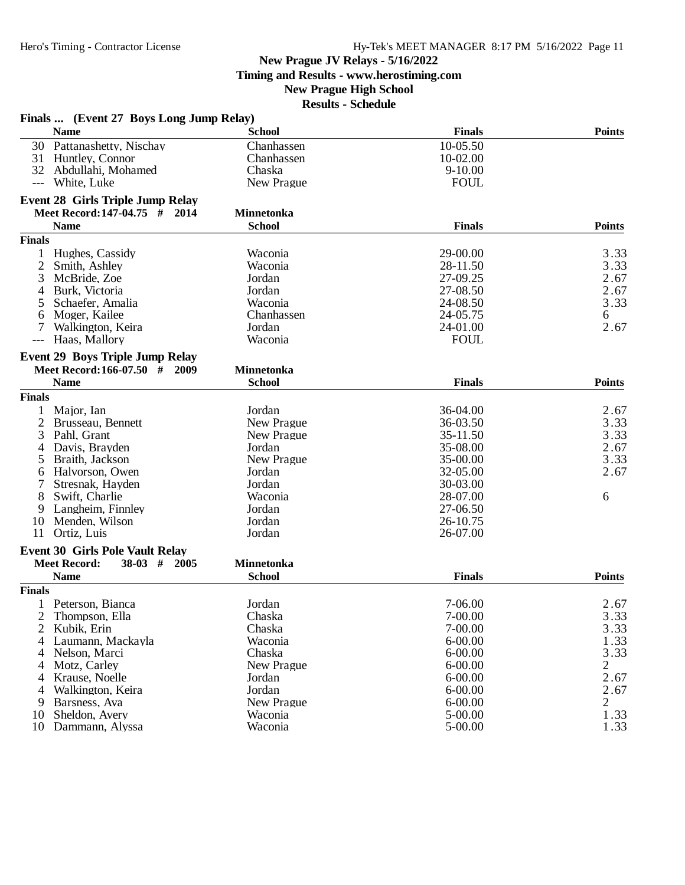**Timing and Results - www.herostiming.com**

## **New Prague High School**

|                | Finals  (Event 27 Boys Long Jump Relay)<br><b>Name</b>                   | <b>School</b>     | <b>Finals</b> | <b>Points</b> |
|----------------|--------------------------------------------------------------------------|-------------------|---------------|---------------|
|                | 30 Pattanashetty, Nischay                                                | Chanhassen        | 10-05.50      |               |
|                | 31 Huntley, Connor                                                       | Chanhassen        | 10-02.00      |               |
|                | 32 Abdullahi, Mohamed                                                    | Chaska            | $9 - 10.00$   |               |
| $---$          | White, Luke                                                              | New Prague        | <b>FOUL</b>   |               |
|                |                                                                          |                   |               |               |
|                | <b>Event 28 Girls Triple Jump Relay</b><br>Meet Record: 147-04.75 # 2014 | <b>Minnetonka</b> |               |               |
|                |                                                                          |                   |               |               |
|                | <b>Name</b>                                                              | <b>School</b>     | <b>Finals</b> | <b>Points</b> |
| <b>Finals</b>  |                                                                          |                   |               |               |
| $\mathbf{1}$   | Hughes, Cassidy                                                          | Waconia           | 29-00.00      | 3.33          |
| 2              | Smith, Ashley                                                            | Waconia           | 28-11.50      | 3.33          |
| 3              | McBride, Zoe                                                             | Jordan            | 27-09.25      | 2.67          |
| 4              | Burk, Victoria                                                           | Jordan            | 27-08.50      | 2.67          |
| 5              | Schaefer, Amalia                                                         | Waconia           | 24-08.50      | 3.33          |
| 6              | Moger, Kailee                                                            | Chanhassen        | 24-05.75      | 6             |
|                | Walkington, Keira                                                        | Jordan            | 24-01.00      | 2.67          |
| $---$          | Haas, Mallory                                                            | Waconia           | <b>FOUL</b>   |               |
|                | <b>Event 29 Boys Triple Jump Relay</b>                                   |                   |               |               |
|                | Meet Record: 166-07.50 # 2009                                            | <b>Minnetonka</b> |               |               |
|                | <b>Name</b>                                                              | <b>School</b>     | <b>Finals</b> | <b>Points</b> |
| <b>Finals</b>  |                                                                          |                   |               |               |
|                | Major, Ian                                                               | Jordan            | 36-04.00      | 2.67          |
| 2              | Brusseau, Bennett                                                        | New Prague        | 36-03.50      | 3.33          |
| 3              | Pahl, Grant                                                              | New Prague        | 35-11.50      | 3.33          |
| 4              | Davis, Brayden                                                           | Jordan            | 35-08.00      | 2.67          |
| 5              | Braith, Jackson                                                          | New Prague        | 35-00.00      | 3.33          |
| 6              | Halvorson, Owen                                                          | Jordan            | 32-05.00      | 2.67          |
|                | Stresnak, Hayden                                                         | Jordan            | 30-03.00      |               |
| 8              | Swift, Charlie                                                           | Waconia           | 28-07.00      | 6             |
| 9              | Langheim, Finnley                                                        | Jordan            | 27-06.50      |               |
| 10             | Menden, Wilson                                                           | Jordan            | 26-10.75      |               |
| 11             | Ortiz, Luis                                                              | Jordan            | 26-07.00      |               |
|                | <b>Event 30 Girls Pole Vault Relay</b>                                   |                   |               |               |
|                | <b>Meet Record:</b><br>$38-03$ # 2005                                    | <b>Minnetonka</b> |               |               |
|                | <b>Name</b>                                                              | <b>School</b>     | <b>Finals</b> | <b>Points</b> |
| <b>Finals</b>  |                                                                          |                   |               |               |
|                | 1 Peterson, Bianca                                                       | Jordan            | 7-06.00       | 2.67          |
| $\overline{2}$ | Thompson, Ella                                                           | Chaska            | 7-00.00       | 3.33          |
| 2              | Kubik, Erin                                                              | Chaska            | 7-00.00       | 3.33          |
| 4              | Laumann, Mackayla                                                        | Waconia           | $6 - 00.00$   | 1.33          |
| 4              | Nelson, Marci                                                            | Chaska            | $6 - 00.00$   | 3.33          |
| 4              | Motz, Carley                                                             | New Prague        | $6 - 00.00$   | 2             |
| 4              | Krause, Noelle                                                           | Jordan            | $6 - 00.00$   | 2.67          |
| 4              | Walkington, Keira                                                        | Jordan            | $6 - 00.00$   | 2.67          |
|                | Barsness, Ava                                                            | New Prague        | $6 - 00.00$   |               |
| 9              | Sheldon, Avery                                                           | Waconia           | 5-00.00       | 2             |
| 10             |                                                                          |                   |               | 1.33          |
|                | 10 Dammann, Alyssa                                                       | Waconia           | 5-00.00       | 1.33          |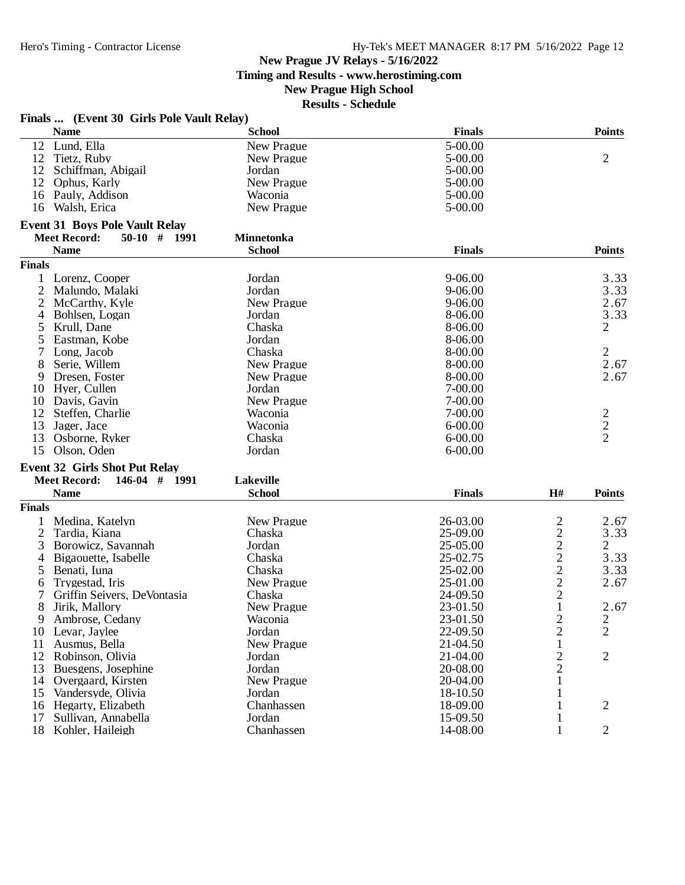**Timing and Results - www.herostiming.com**

# **New Prague High School**

|               | Finals  (Event 30 Girls Pole Vault Relay) |                   |               |                |                |
|---------------|-------------------------------------------|-------------------|---------------|----------------|----------------|
|               | <b>Name</b>                               | <b>School</b>     | <b>Finals</b> |                | <b>Points</b>  |
| 12            | Lund, Ella                                | New Prague        | 5-00.00       |                |                |
| 12            | Tietz, Ruby                               | New Prague        | 5-00.00       |                | 2              |
| 12            | Schiffman, Abigail                        | Jordan            | 5-00.00       |                |                |
| 12            | Ophus, Karly                              | New Prague        | 5-00.00       |                |                |
|               | 16 Pauly, Addison                         | Waconia           | 5-00.00       |                |                |
| 16            | Walsh, Erica                              | New Prague        | 5-00.00       |                |                |
|               | <b>Event 31 Boys Pole Vault Relay</b>     |                   |               |                |                |
|               | <b>Meet Record:</b><br>$50-10$ # 1991     | <b>Minnetonka</b> |               |                |                |
|               | <b>Name</b>                               | <b>School</b>     | <b>Finals</b> |                | <b>Points</b>  |
| <b>Finals</b> |                                           |                   |               |                |                |
|               | Lorenz, Cooper                            | Jordan            | 9-06.00       |                | 3.33           |
| 2             | Malundo, Malaki                           | Jordan            | $9 - 06.00$   |                | 3.33           |
| 2             | McCarthy, Kyle                            | New Prague        | 9-06.00       |                | 2.67           |
| 4             | Bohlsen, Logan                            | Jordan            | 8-06.00       |                | 3.33           |
| 5             | Krull, Dane                               | Chaska            | 8-06.00       |                | 2              |
|               | Eastman, Kobe                             | Jordan            | 8-06.00       |                |                |
| 7             | Long, Jacob                               | Chaska            | 8-00.00       |                | 2              |
| 8             | Serie, Willem                             | New Prague        | 8-00.00       |                | 2.67           |
| 9             | Dresen, Foster                            | New Prague        | 8-00.00       |                | 2.67           |
| 10            | Hyer, Cullen                              | Jordan            | $7 - 00.00$   |                |                |
| 10            | Davis, Gavin                              | New Prague        | $7 - 00.00$   |                |                |
| 12            | Steffen, Charlie                          | Waconia           | 7-00.00       |                |                |
| 13            | Jager, Jace                               | Waconia           | $6 - 00.00$   |                | $\frac{2}{2}$  |
| 13            | Osborne, Ryker                            | Chaska            | $6 - 00.00$   |                |                |
| 15            | Olson, Oden                               | Jordan            | $6 - 00.00$   |                |                |
|               | <b>Event 32 Girls Shot Put Relay</b>      |                   |               |                |                |
|               | <b>Meet Record:</b><br>$146-04$ # 1991    | Lakeville         |               |                |                |
|               | <b>Name</b>                               | <b>School</b>     | <b>Finals</b> | H#             | <b>Points</b>  |
| <b>Finals</b> |                                           |                   |               |                |                |
|               | Medina, Katelyn                           | New Prague        | 26-03.00      | $\overline{c}$ | 2.67           |
| 2             | Tardia, Kiana                             | Chaska            | 25-09.00      | $\overline{c}$ | 3.33           |
| 3             | Borowicz, Savannah                        | Jordan            | 25-05.00      | $\overline{c}$ | $\overline{2}$ |
| 4             | Bigaouette, Isabelle                      | Chaska            | 25-02.75      | $\overline{c}$ | 3.33           |
| 5             | Benati, Iuna                              | Chaska            | 25-02.00      |                | 3.33           |
| 6             | Trygestad, Iris                           | New Prague        | 25-01.00      | $\frac{2}{2}$  | 2.67           |
|               | Griffin Seivers, DeVontasia               | Chaska            | 24-09.50      |                |                |
| 8             | Jirik, Mallory                            | New Prague        | 23-01.50      | 1              | 2.67           |
| 9             | Ambrose, Cedany                           | Waconia           | 23-01.50      | 2              | $\overline{c}$ |
| 10            | Levar, Jaylee                             | Jordan            | 22-09.50      | $\overline{c}$ | $\overline{2}$ |
| 11            | Ausmus, Bella                             | New Prague        | 21-04.50      | $\mathbf{1}$   |                |
| 12            | Robinson, Olivia                          | Jordan            | 21-04.00      |                | 2              |
| 13            | Buesgens, Josephine                       | Jordan            | 20-08.00      | $\frac{2}{2}$  |                |
| 14            | Overgaard, Kirsten                        | New Prague        | 20-04.00      | $\mathbf{1}$   |                |
| 15            | Vandersyde, Olivia                        | Jordan            | 18-10.50      | $\mathbf{1}$   |                |
| 16            | Hegarty, Elizabeth                        | Chanhassen        | 18-09.00      | $\mathbf{1}$   | $\overline{2}$ |
| 17            | Sullivan, Annabella                       | Jordan            | 15-09.50      | $\mathbf{1}$   |                |
| 18            | Kohler, Haileigh                          | Chanhassen        | 14-08.00      | $\mathbf{1}$   | 2              |
|               |                                           |                   |               |                |                |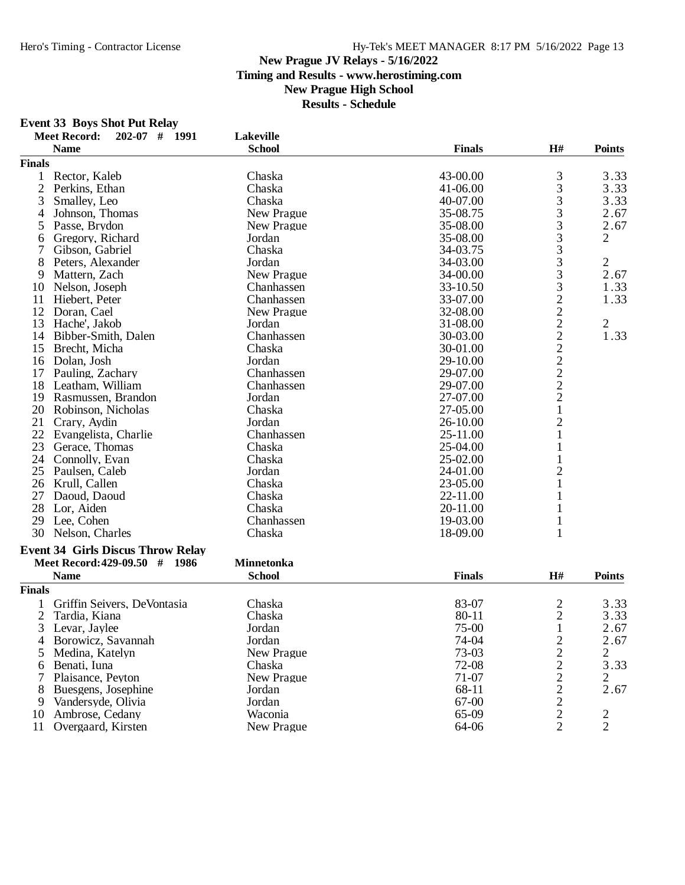#### **New Prague JV Relays - 5/16/2022 Timing and Results - www.herostiming.com New Prague High School Results - Schedule**

# **Event 33 Boys Shot Put Relay**

|                | <b>Meet Record:</b><br>$202-07$ #<br>1991 | Lakeville         |               |                |                |
|----------------|-------------------------------------------|-------------------|---------------|----------------|----------------|
|                | <b>Name</b>                               | <b>School</b>     | <b>Finals</b> | H#             | <b>Points</b>  |
| <b>Finals</b>  |                                           |                   |               |                |                |
| $\mathbf{1}$   | Rector, Kaleb                             | Chaska            | 43-00.00      | 3              | 3.33           |
| $\overline{2}$ | Perkins, Ethan                            | Chaska            | 41-06.00      | 3              | 3.33           |
| 3              | Smalley, Leo                              | Chaska            | 40-07.00      | 3              | 3.33           |
| 4              | Johnson, Thomas                           | New Prague        | 35-08.75      | 3              | 2.67           |
| 5              | Passe, Brydon                             | New Prague        | 35-08.00      | 3              | 2.67           |
| 6              | Gregory, Richard                          | Jordan            | 35-08.00      | 3              | $\overline{c}$ |
| 7              | Gibson, Gabriel                           | Chaska            | 34-03.75      | 3              |                |
| 8              | Peters, Alexander                         | Jordan            | 34-03.00      | 3              | 2              |
| 9              | Mattern, Zach                             | New Prague        | 34-00.00      | 3              | 2.67           |
| 10             | Nelson, Joseph                            | Chanhassen        | 33-10.50      | 3              | 1.33           |
| 11             | Hiebert, Peter                            | Chanhassen        | 33-07.00      | $\overline{c}$ | 1.33           |
| 12             | Doran, Cael                               | New Prague        | 32-08.00      | $\overline{c}$ |                |
| 13             | Hache', Jakob                             | Jordan            | 31-08.00      |                | $\overline{c}$ |
| 14             | Bibber-Smith, Dalen                       | Chanhassen        | 30-03.00      | $\frac{2}{2}$  | 1.33           |
| 15             | Brecht, Micha                             | Chaska            | 30-01.00      |                |                |
| 16             | Dolan, Josh                               | Jordan            | 29-10.00      |                |                |
| 17             | Pauling, Zachary                          | Chanhassen        | 29-07.00      |                |                |
| 18             | Leatham, William                          | Chanhassen        | 29-07.00      | $\frac{2}{2}$  |                |
| 19             | Rasmussen, Brandon                        | Jordan            | 27-07.00      | $\overline{c}$ |                |
| 20             | Robinson, Nicholas                        | Chaska            | 27-05.00      | $\mathbf{1}$   |                |
| 21             | Crary, Aydin                              | Jordan            | 26-10.00      | $\overline{2}$ |                |
| 22             | Evangelista, Charlie                      | Chanhassen        | 25-11.00      | 1              |                |
| 23             | Gerace, Thomas                            | Chaska            | 25-04.00      | 1              |                |
| 24             | Connolly, Evan                            | Chaska            | 25-02.00      |                |                |
| 25             | Paulsen, Caleb                            | Jordan            | 24-01.00      | $\overline{c}$ |                |
| 26             | Krull, Callen                             | Chaska            | 23-05.00      |                |                |
| 27             | Daoud, Daoud                              | Chaska            | 22-11.00      |                |                |
| 28             | Lor, Aiden                                | Chaska            | 20-11.00      | 1              |                |
| 29             | Lee, Cohen                                | Chanhassen        | 19-03.00      | $\mathbf{1}$   |                |
| 30             | Nelson, Charles                           | Chaska            | 18-09.00      | 1              |                |
|                | <b>Event 34 Girls Discus Throw Relay</b>  |                   |               |                |                |
|                | Meet Record: 429-09.50 # 1986             | <b>Minnetonka</b> |               |                |                |
|                | <b>Name</b>                               | <b>School</b>     | <b>Finals</b> | H#             | <b>Points</b>  |
| <b>Finals</b>  |                                           |                   |               |                |                |
| 1              | Griffin Seivers, DeVontasia               | Chaska            | 83-07         | $\overline{c}$ | 3.33           |
| $\overline{c}$ | Tardia, Kiana                             | Chaska            | 80-11         |                | 3.33           |
| 3              | Levar, Jaylee                             | Jordan            | 75-00         | $\frac{2}{1}$  | 2.67           |
| 4              | Borowicz, Savannah                        | Jordan            | 74-04         |                | 2.67           |
| 5              | Medina, Katelyn                           | New Prague        | 73-03         |                | $\overline{2}$ |
| 6              | Benati, Iuna                              | Chaska            | 72-08         |                | 3.33           |
| 7              | Plaisance, Peyton                         | New Prague        | 71-07         |                | 2              |
| 8              | Buesgens, Josephine                       | Jordan            | 68-11         |                | 2.67           |
| 9              | Vandersyde, Olivia                        | Jordan            | 67-00         |                |                |
| 10             | Ambrose, Cedany                           | Waconia           | 65-09         | 222222         | $\overline{2}$ |
| 11             | Overgaard, Kirsten                        | New Prague        | 64-06         | $\overline{2}$ | $\overline{2}$ |
|                |                                           |                   |               |                |                |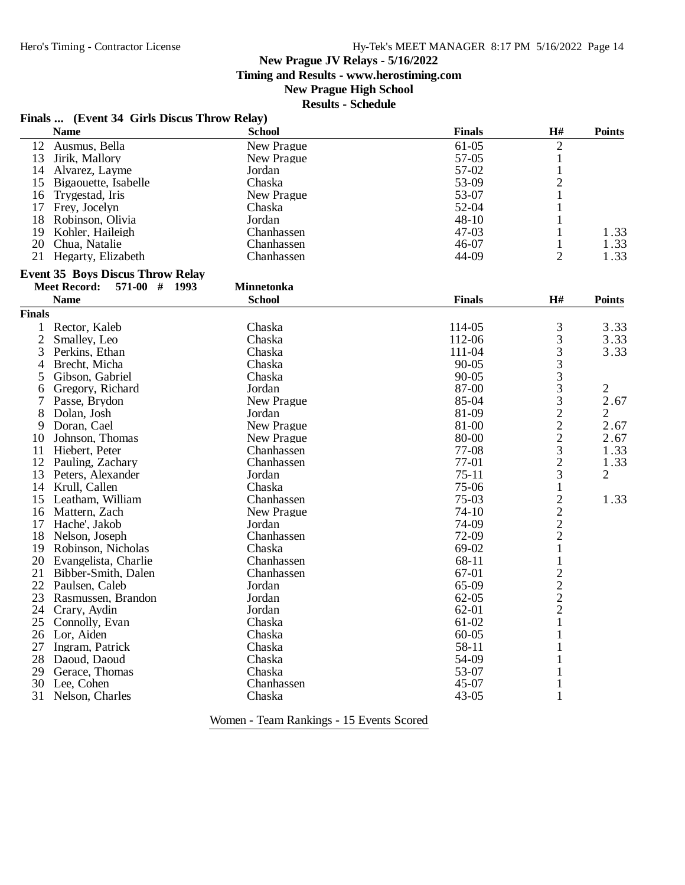**Timing and Results - www.herostiming.com**

## **New Prague High School**

**Results - Schedule**

|  |  | Finals  (Event 34 Girls Discus Throw Relay) |  |  |
|--|--|---------------------------------------------|--|--|
|--|--|---------------------------------------------|--|--|

|                | <b>Name</b>                             | <b>School</b>     | <b>Finals</b> | H#             | <b>Points</b>  |
|----------------|-----------------------------------------|-------------------|---------------|----------------|----------------|
|                | 12 Ausmus, Bella                        | New Prague        | $61-05$       | $\overline{2}$ |                |
| 13             | Jirik, Mallory                          | New Prague        | 57-05         | $\mathbf{1}$   |                |
| 14             | Alvarez, Layme                          | Jordan            | 57-02         | $\mathbf{1}$   |                |
| 15             | Bigaouette, Isabelle                    | Chaska            | 53-09         | $\overline{c}$ |                |
| 16             | Trygestad, Iris                         | New Prague        | 53-07         | 1              |                |
|                | 17 Frey, Jocelyn                        | Chaska            | 52-04         | 1              |                |
| 18             | Robinson, Olivia                        | Jordan            | $48 - 10$     | 1              |                |
| 19             | Kohler, Haileigh                        | Chanhassen        | $47 - 03$     | 1              | 1.33           |
| 20             | Chua, Natalie                           | Chanhassen        | 46-07         | $\mathbf{1}$   | 1.33           |
|                | 21 Hegarty, Elizabeth                   | Chanhassen        | 44-09         | $\overline{2}$ | 1.33           |
|                | <b>Event 35 Boys Discus Throw Relay</b> |                   |               |                |                |
|                | <b>Meet Record:</b><br>571-00 # 1993    | <b>Minnetonka</b> |               |                |                |
|                | <b>Name</b>                             | <b>School</b>     | <b>Finals</b> | H#             | <b>Points</b>  |
| <b>Finals</b>  |                                         |                   |               |                |                |
| $\mathbf{1}$   | Rector, Kaleb                           | Chaska            | 114-05        | 3              | 3.33           |
| $\mathfrak{2}$ | Smalley, Leo                            | Chaska            | 112-06        | 3              | 3.33           |
| 3              | Perkins, Ethan                          | Chaska            | 111-04        | 3              | 3.33           |
| 4              | Brecht, Micha                           | Chaska            | $90 - 05$     | 3              |                |
| 5              | Gibson, Gabriel                         | Chaska            | $90 - 05$     | 3              |                |
| 6              | Gregory, Richard                        | Jordan            | 87-00         | 3              | $\overline{c}$ |
| 7              | Passe, Brydon                           | New Prague        | 85-04         | 3              | 2.67           |
| 8              | Dolan, Josh                             | Jordan            | 81-09         | $\overline{c}$ | $\overline{2}$ |
| 9              | Doran, Cael                             | New Prague        | 81-00         | $\overline{c}$ | 2.67           |
| 10             | Johnson, Thomas                         | New Prague        | 80-00         | $\overline{c}$ | 2.67           |
| 11             | Hiebert, Peter                          | Chanhassen        | 77-08         | 3              | 1.33           |
| 12             | Pauling, Zachary                        | Chanhassen        | 77-01         | $\overline{c}$ | 1.33           |
|                | 13 Peters, Alexander                    | Jordan            | $75 - 11$     | 3              | 2              |
|                | 14 Krull, Callen                        | Chaska            | 75-06         | $\mathbf{1}$   |                |
| 15             | Leatham, William                        | Chanhassen        | $75-03$       | $\overline{2}$ | 1.33           |
|                | 16 Mattern, Zach                        | New Prague        | $74-10$       | $\overline{c}$ |                |
| 17             | Hache', Jakob                           | Jordan            | 74-09         | $\overline{c}$ |                |
| 18             | Nelson, Joseph                          | Chanhassen        | 72-09         | $\overline{c}$ |                |
|                | 19 Robinson, Nicholas                   | Chaska            | 69-02         | $\mathbf{1}$   |                |
|                | 20 Evangelista, Charlie                 | Chanhassen        | 68-11         | $\mathbf{1}$   |                |
| 21             | Bibber-Smith, Dalen                     | Chanhassen        | 67-01         | $\overline{c}$ |                |
| 22             | Paulsen, Caleb                          | Jordan            | 65-09         |                |                |
| 23             | Rasmussen, Brandon                      | Jordan            | $62 - 05$     | $\frac{2}{2}$  |                |
| 24             | Crary, Aydin                            | Jordan            | 62-01         | $\overline{2}$ |                |
| 25             | Connolly, Evan                          | Chaska            | 61-02         | $\mathbf{1}$   |                |
|                | 26 Lor, Aiden                           | Chaska            | $60 - 05$     | 1              |                |
| 27             | Ingram, Patrick                         | Chaska            | 58-11         | 1              |                |
| 28             | Daoud, Daoud                            | Chaska            | 54-09         | 1              |                |
| 29             | Gerace, Thomas                          | Chaska            | 53-07         | $\mathbf{1}$   |                |
| 30             | Lee, Cohen                              | Chanhassen        | 45-07         | $\mathbf{1}$   |                |
| 31             |                                         | Chaska            | $43 - 05$     | $\mathbf{1}$   |                |
|                | Nelson, Charles                         |                   |               |                |                |

Women - Team Rankings - 15 Events Scored